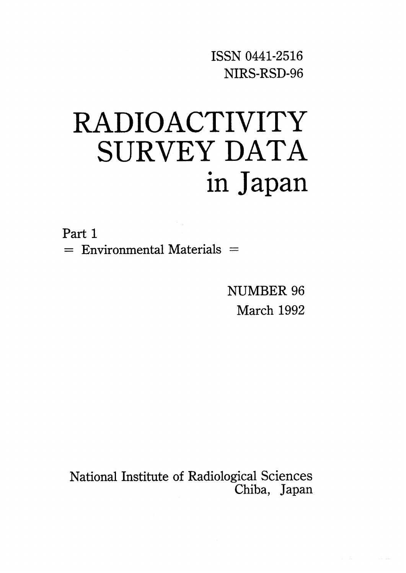ISSNO441-2516 NIRS・RSD-96

# RADIOACTIVITY SURVEY DATA in Japan

Part 1  $=$  Environmental Materials  $=$ 

> NUMBER 96 March 1992

National Institute of Radiological Sciences Chiba, Japan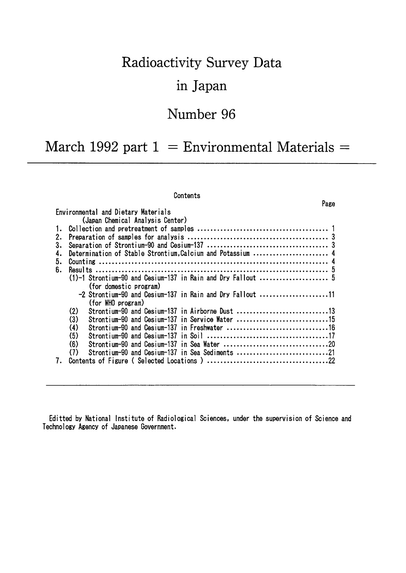# Radioactivity Survey Data

### in Japan

### Number 96

### March 1992 part  $1 =$  Environmental Materials =

#### Contents

| Environmental and Dietary Materials                               |
|-------------------------------------------------------------------|
| (Japan Chemical Analysis Center)                                  |
|                                                                   |
| 2.                                                                |
| 3.                                                                |
| Determination of Stable Strontium, Calcium and Potassium  4<br>4. |
| 5.                                                                |
| ճ.                                                                |
|                                                                   |
| (for domestic program)                                            |
| -2 Strontium-90 and Cesium-137 in Rain and Dry Fallout 11         |
| (for WHO program)                                                 |
| (2)<br>Strontium-90 and Cesium-137 in Airborne Dust 13            |
| (3)<br>Strontium-90 and Cesium-137 in Service Water 15            |
| (4)                                                               |
| (5)                                                               |
| (6)                                                               |
| (7)<br>Strontium-90 and Cesium-137 in Sea Sediments 21            |
|                                                                   |

Editted by National Institute of Radiological Sciences, under the supervision of Science and Technology Agency of Japanese Government.

#### Page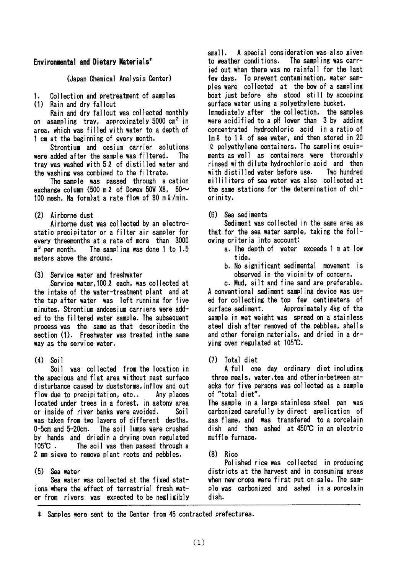#### Environmental and Dietary Materials<sup>\*</sup>

(Japan Chemical Analysis Center)

1. Collection and pretreatment of samples

(1) Rain and dry fallout

Rain and dry fallout was collected monthly on asampling tray, approximately  $5000 \text{ cm}^2$  in area, which was filled with water to a depth of lcm at the beginning of every month.

Strontium and cesium carrier solutions were added after the sample was filtered. The tray was washed with 52 of distilled water and the washing was combined to the filtrate.

The sample was passed throush a cation exchange column (500 m  $\ell$  of Dowex 50W X8, 50 $\sim$ 100 mesh. Na form) at a rate flow of 80 m  $\ell$ /min.

#### (2) Airborne dust

Airborne dust was collected by an electrostatic precipitator or a filter air sampler for every threemonths at a rate of more than 3000  $m<sup>3</sup>$  per month. The sampling was done 1 to 1.5 meters above the ground.

(3) Service water and freshwater

Service water, 100  $\ell$  each. was collected at the intake of the water-treatment plant and at the tap after water was left running for five minutes. Strontium andcesium carriers were added to the filtered water sample. The subsequent process was the same as that describedin the section (1). Freshwater was treated in the same Way aS the service water.

 $(4)$  Soil

Soil was collected from the location in the spacious and flat area without past surface disturbance caused by duststorms, inflow and out flow due to precipitation, etc.. Any places located under trees in a forest, in astony area or inside of river banks were avoided. Soil was taken from two layers of different depths, 0-5cm and 5-20cm. The soil lumps were crushed by hands and driedin a drying oven regulated lO5℃. The soil was then passed through a 2mm sieve to remove plant roots and pebbles.

#### (5) Sea water

Sea water was collected at the fixed stat ions where the effect of terrestrial fresh water from rivers was expected to be negligibly small. A special consideration was also given to weather conditions. The sampling was carr ied out when there was no rainfall for the last few days. To prevent contamination, water samples were collected at the bow of a sampling boat just before she stood still by scooping surface water using a polyethylene bucket. Immediately after the collection, the samples were acidified to a pH lower than 3 by adding concentrated hvdrochloric acid in a ratio of  $lm\ell$  to 1  $l$  of sea water, and then stored in 20  $\ell$  polyethylene containers. The sampling equipments as well as containers were thoroughlv rinsed with dilute hydrochloric acid and then with distilled water before use. Two hundred milliliters of sea water was also collected at the same stations for the determination of chl-Orinity.

 $(6)$  Sea sediments

Sediment was collected in the same area as that for the sea water sample, taking the following criteria into account:

- a. The depth of water exceeds 1 m at low tide.
- b. No significant sedimental movement is observed in the vicinity of concern.

c. Mud. silt and fine sand are preferable. A conventional sediment sampling device was used for collecting the top few centimeters of surface sediment. Approximately 4kg of the sample in wet weight was spread on a stainless steel dish after removed of the pebbles, shells and other foreign materials, and dried in a drying oven regulated at 105℃.

(7) Total diet

A full one day ordinary diet including three meals, water, tea and otherin-between snacks for five persons was co11ected as a sample of "total diet".

The sample in a large stainless steel pan was Carbonized carefully by direct application of gas flame, and was transfered to a porcelain dish and then ashed at450℃in an electric muffle furnace.

 $(8)$  Rice

Polished rice was collected in producing districts at the harvest and in consuming areas when new crops were first put on sale. The sample was carbonized and ashed in a porcelain dish.

‡Samples were sent to theC8nter from46contracted prefectures.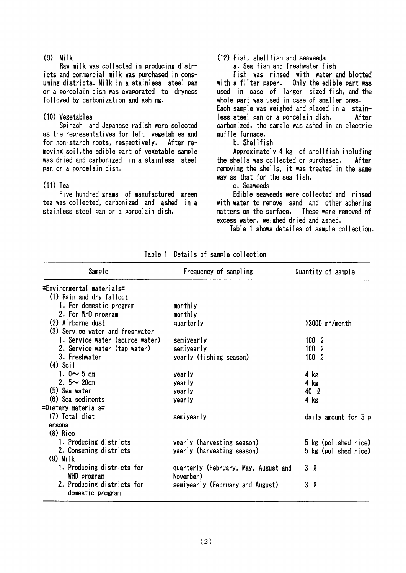$(9)$  Milk

Raw milk was collected in producing districts and commercial milk was purchased in consuming districts. Milk in a stainless steel pan Or a POrCelain dish was evaporated to dryness followed by carbonization and ashing.

#### (10) Vegetables

Spinach and Japanese radish were selected as the representatives for left vegetables and for non-starch roots, respectively. After removing soil,the edible part of vegetable sample was dried and carbonized in a stainless steel pan or a porcelain dish.

#### $(11)$  Tea

Five hundred grams of manufactured green tea was collected, carbonized and ashed in a stainless steel pan or a porcelain dish.

#### $(12)$  Fish. shellfish and seaweeds

a. Sea fish and freshwater fish

Fish was rinsed with water and blotted With a filter paper. Only the edible part was used in case of larger sized fish, and the whole part was used in case of smaller ones. Each sample was weighed and placed in a stainless steel pan or a porcelain dish. After carbonized. the sample was ashed in an electric muffle furnace.

#### b. Shellfish

Approximately 4 kg of shell fish including the shells was collected or purchased. After removing the shells, it was treated in the same Way aS that for the sea fish.

c. Seaweeds

Edible seaweeds were collected and rinsed with water to remove sand and other adhering matters on the surface. These were removed of excess water, weighed dried and ashed.

Table 1 shows detailes of sample collection.

| Frequency of sampling            | Quantity of sample                                                                            |
|----------------------------------|-----------------------------------------------------------------------------------------------|
|                                  |                                                                                               |
|                                  |                                                                                               |
| monthly                          |                                                                                               |
| monthly                          |                                                                                               |
| quarterly                        | $>3000$ m <sup>3</sup> /month                                                                 |
|                                  |                                                                                               |
| semiyearly                       | $100 \Omega$                                                                                  |
| semiyearly                       | 100 l                                                                                         |
|                                  | $100 \Omega$                                                                                  |
|                                  |                                                                                               |
| yearly                           | 4 kg                                                                                          |
| yearly                           | 4 kg                                                                                          |
| yearly                           | 40 Q                                                                                          |
| yearly                           | 4 kg                                                                                          |
|                                  |                                                                                               |
| semiyearly                       | daily amount for 5 p                                                                          |
|                                  |                                                                                               |
|                                  |                                                                                               |
| yearly (harvesting season)       | 5 kg (polished rice)                                                                          |
|                                  | 5 kg (polished rice)                                                                          |
|                                  |                                                                                               |
|                                  | 3Q                                                                                            |
| November)                        |                                                                                               |
| semiyearly (February and August) | 3Q                                                                                            |
|                                  |                                                                                               |
|                                  | yearly (fishing season)<br>yaerly (harvesting season)<br>quarterly (February, May, August and |

Table 1 Details of sample collection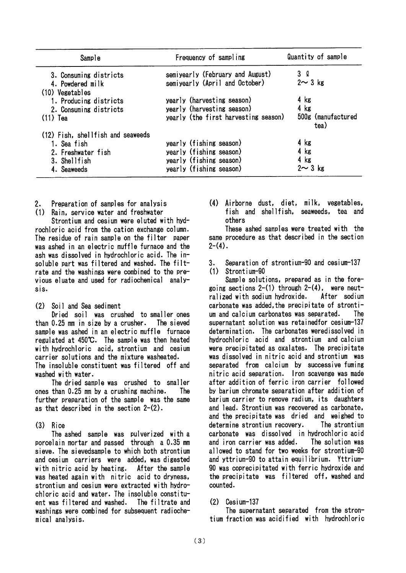| Sample                              | Frequency of sampling                | Quantity of sample         |  |
|-------------------------------------|--------------------------------------|----------------------------|--|
| 3. Consuming districts              | semiyearly (February and August)     | 3Q                         |  |
| 4. Powdered milk<br>(10) Vegetables | semiyearly (April and October)       | $2 \sim 3$ kg              |  |
| 1. Producing districts              | yearly (harvesting season)           | $4$ kg                     |  |
| 2. Consuming districts              | yearly (harvesting season)           | $4$ kg                     |  |
| $(11)$ Tea                          | yearly (the first harvesting season) | 500g (manufactured<br>tea) |  |
| (12) Fish, shellfish and seaweeds   |                                      |                            |  |
| 1. Sea fish                         | yearly (fishing season)              | 4 kg                       |  |
| 2. Freshwater fish                  | yearly (fishing season)              | 4 kg                       |  |
| 3. Shellfish                        | yearly (fishing season)              | $4$ kg                     |  |
| 4. Seaweeds                         | yearly (fishing season)              | $2 \sim 3$ kg              |  |

- Preparation of samples for analysis  $2.$
- $(1)$ Rain, service water and freshwater

Strontium and cesium were eluted with hydrochloric acid from the cation exchange column. The residue of rain sample on the filter paper was ashed in an electric muffle furnace and the ash was dissolved in hydrochloric acid. The insoluble part was filtered and washed. The filtrate and the washings were combined to the previous eluate and used for radiochemical analysis.

 $(2)$ Soil and Sea sediment

Dried soil was crushed to smaller ones than 0.25 mm in size by a crusher. The sieved sample was ashed in an electric muffle furnace regulated at 450°C. The sample was then heated with hydrochloric acid, strontium and cesium carrier solutions and the mixture washeated. The insoluble constituent was filtered off and washed with water.

The dried sample was crushed to smaller ones than 0.25 mm by a crushing machine. The further preparation of the sample was the same as that described in the section  $2-(2)$ .

 $(3)$ Rice

The ashed sample was pulverized with a porcelain mortar and passed through a 0.35 mm sieve. The sievedsample to which both strontium and cesium carriers were added, was digested with nitric acid by heating. After the sample was heated again with nitric acid to dryness, strontium and cesium were extracted with hydrochloric acid and water. The insoluble constituent was filtered and washed. The filtrate and washings were combined for subsequent radiochemical analysis.

(4) Airborne dust, diet, milk, vegetables. fish and shellfish, seaweeds, tea and others

These ashed samples were treated with the same procedure as that described in the section  $2-(4)$ .

Separation of strontium-90 and cesium-137  $3.$ 

 $(1)$  Strontium-90

Sample solutions, prepared as in the foregoing sections  $2-(1)$  through  $2-(4)$ . were neutralized with sodium hydroxide. After sodium carbonate was added the precipitate of strontium and calcium carbonates was separated. The supernatant solution was retained for cesium-137 determination. The carbonates weredissolved in hydrochloric acid and strontium and calcium were precipitated as oxalates. The precipitate was dissolved in nitric acid and strontium was separated from calcium by successive fuming nitric acid separation. Iron scavenge was made after addition of ferric iron carrier followed by barium chromate separation after addition of barium carrier to remove radium, its daughters and lead. Strontium was recovered as carbonate. and the precipitate was dried and weighed to determine strontium recovery. The strontium carbonate was dissolved in hydrochloric acid and iron carrier was added. The solution was allowed to stand for two weeks for strontium-90 and yttrium-90 to attain equilibrium. Yttrium-90 was coprecipitated with ferric hydroxide and the precipitate was filtered off, washed and counted.

#### $(2)$  Cesium-137

The supernatant separated from the strontium fraction was acidified with hydrochloric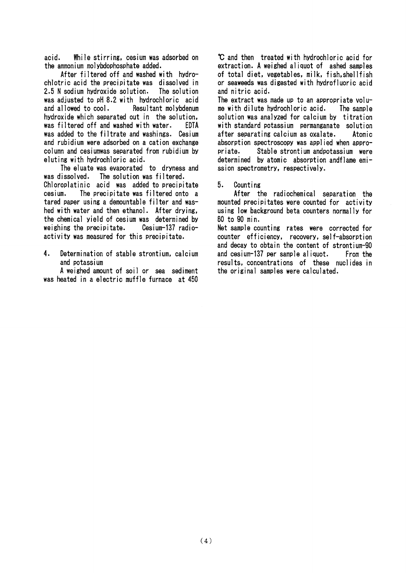acid. While stirring, cesium was adsorbed on the ammonium molybdophosphate added.

After filtered off and washed with hydro chlotric acid the precipitate was dissolved in 2.5N sodium hydroxide solution. The soIution was adjusted to pH 8.2 with hydrochloric acid<br>and allowed to cool. Besultant molybdenum Resultant molybdenum hydroxide which separated out in the solution. was filtered off and washed with water. EDTA was added to the filtrate and washings. Cesium and rubidium were adsorbed on a cation exchange COIumn and cesiumwas separated from rubidjum by eluting with hydrochloric acid.

The eluate was evaporated to dryness and WaS dissoIved. The solution was filtered. Chloroplatinic acid was added to precipitate CeSIUm. The precipitate was filtered onto a tared paper using a demountable filter and was hed with water and then ethanol. After drying, the chemical yield of cesium was determined by weighing the precipitate. Cesium-137 radioactivity was measured for this precipitate.

4. Determination of stable strontium, calcium and potassium

A weighed amount of soil or sea sediment was heated in a electric muffle furnace at 450

℃and then treated with hydrochloric acid for extraction.Aweighed aliquot of ashed samples of total diet, vegetables, milk, fish, shellfish Or SeaWeeds was digested with hydrofluoric acid and nitric acid.

The extract was made up to an appropriate volume with dilute hydrochloric acid. The sample solution was analyzed for calcium by titration with standard potassium permanganate solution after separating calcium as oxalate. Atomic absorption spectroscopy was applied when appro-Priate. Stable strontium andpotassium were determined by atomic absorption andflame emission spectrometry, respectively.

5. Counting

After the radiochemical separation the mounted precipitates were counted for activity using low background beta counters normally for 60to gO min.

Net sample counting rates were corrected for counter efficiency, recovery, self-absorption and decay to obtain the content of strontium-gO and cesium-137 per sample aliquot. From the results, concentrations of these nuclides in the original samples were calculated.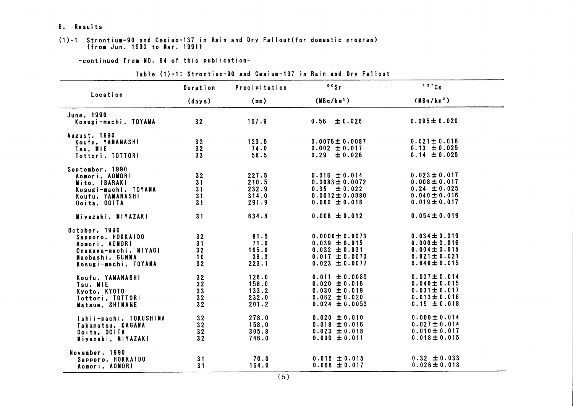#### 6. Results

#### (1)-1 Strontium-90 and Cesium-137 in Rain and Dry Fallout (for domestic program) (from Jun. 1990 to Mar. 1991)

-continued from NO. 94 of this publication-

|                                                                                                                          | Duration                   | Precipitation                             | 90Sr                                                                                                      | 137Cs                                                                                                 |
|--------------------------------------------------------------------------------------------------------------------------|----------------------------|-------------------------------------------|-----------------------------------------------------------------------------------------------------------|-------------------------------------------------------------------------------------------------------|
| Location                                                                                                                 | (days)                     | (mn)                                      | (MBq/km <sup>2</sup> )                                                                                    | (MBq/km <sup>2</sup> )                                                                                |
| June, 1990<br>Kosugi-machi, TOYAMA                                                                                       | 32                         | 167.9                                     | $0.56 \pm 0.026$                                                                                          | $0.095 \pm 0.020$                                                                                     |
| August, 1990<br>Koufu. YAMANASHI<br>Tsu, MIE<br>Tottori, TOTTORI                                                         | 32<br>32<br>33             | 123.5<br>74.0<br>58.5                     | $0.0076 \pm 0.0087$<br>$0.002 \pm 0.017$<br>$0.29 \pm 0.026$                                              | $0.021 \pm 0.016$<br>$0.13 \pm 0.025$<br>$0.14 \pm 0.025$                                             |
| September, 1990<br>Aomori, AOMORI<br>Mito, IBARAKI<br>Kosugi-machi, TOYAMA<br>Koufu, YAMANASHI<br>Ooita, OOITA           | 32<br>31<br>31<br>31<br>31 | 227.5<br>210.5<br>232.9<br>314.0<br>291.9 | $0.016 \pm 0.014$<br>$0.0083 \pm 0.0072$<br>$0.35 \pm 0.022$<br>$0.0012 \pm 0.0080$<br>$0.000 \pm 0.016$  | $0.023 \pm 0.017$<br>$0.008 \pm 0.017$<br>$0.24 \pm 0.025$<br>$0.040 \pm 0.016$<br>$0.019 \pm 0.017$  |
| Miyazaki, MIYAZAKI                                                                                                       | 31                         | 634.8                                     | $0.006 \pm 0.012$                                                                                         | $0.054 \pm 0.019$                                                                                     |
| October, 1990<br>Sapporo, HOKKAIDO<br>Aomori, AOMORI<br>Onagawa-machi, MIYAGI<br>Maebashi, GUNMA<br>Kosugi-machi, TOYAMA | 32<br>31<br>32<br>10<br>32 | 91.5<br>71.0<br>195.0<br>36.3<br>223.1    | $0.0000 \pm 0.0073$<br>$0.039 \pm 0.015$<br>$0.032 \pm 0.031$<br>$0.017 \pm 0.0070$<br>$0.023 \pm 0.0077$ | $0.034 \pm 0.019$<br>$0.000 \pm 0.016$<br>$0.004 \pm 0.015$<br>$0.021 \pm 0.021$<br>$0.040 \pm 0.015$ |
| Koufu, YAMANASHI<br>Tsu, MIE<br>Kyoto, KYOTO<br>Tottori, TOTTORI<br>Matsue, SHIMANE                                      | 32<br>32<br>33<br>32<br>32 | 126.0<br>158.0<br>133.2<br>232.0<br>201.2 | $0.011 \pm 0.0089$<br>$0.020 \pm 0.016$<br>$0.030 \pm 0.019$<br>$0.062 \pm 0.020$<br>$0.024 \pm 0.0053$   | $0.007 \pm 0.014$<br>$0.040 \pm 0.015$<br>$0.031 \pm 0.017$<br>$0.013 \pm 0.016$<br>$0.15 \pm 0.018$  |
| Ishii-machi, TOKUSHIMA<br>Takamatsu, KAGAWA<br>Ooita, OOITA<br>Miyazaki, MIYAZAKI                                        | 32<br>32<br>32<br>32       | 278.0<br>158.0<br>305.8<br>746.0          | $0.020 \pm 0.010$<br>$0.018 \pm 0.016$<br>$0.023 \pm 0.018$<br>$0.000 \pm 0.011$                          | $0.000 \pm 0.014$<br>$0.027 \pm 0.014$<br>$0.010 \pm 0.017$<br>$0.018 \pm 0.015$                      |
| November, 1990<br>Sapporo, HOKKAIDO<br>Aomori, AOMORI                                                                    | 31<br>31                   | 70.0<br>164.0                             | $0.015 \pm 0.015$<br>$0.066 \pm 0.017$                                                                    | $0.32 \pm 0.033$<br>$0.026 \pm 0.018$                                                                 |

#### Table (1)-1: Strontium-90 and Cesium-137 in Rain and Dry Fallout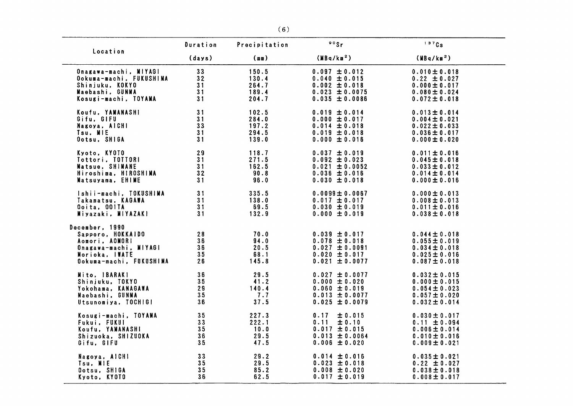|                                                                                                                             | Duration                   | Precipitation                          | $00s$ r                                                                                                 | 137Cs                                                                                                 |
|-----------------------------------------------------------------------------------------------------------------------------|----------------------------|----------------------------------------|---------------------------------------------------------------------------------------------------------|-------------------------------------------------------------------------------------------------------|
| Location                                                                                                                    | (days)                     | (mn)                                   | (MBa/km <sup>2</sup> )                                                                                  | (MBa/km <sup>2</sup> )                                                                                |
| Onagawa-machi, MIYAGI                                                                                                       | 33                         | 150.5                                  | $0.097 \pm 0.012$                                                                                       | $0.010 \pm 0.018$                                                                                     |
| Ookuma-machi, FUKUSHIMA                                                                                                     | 32                         | 130.4                                  | $0.040 \pm 0.015$                                                                                       | $0.22 \pm 0.027$                                                                                      |
| Shinjuku, KOKYO                                                                                                             | 31                         | 264.7                                  | $0.002 \pm 0.018$                                                                                       | $0.000 \pm 0.017$                                                                                     |
| Maebashi, GUNMA                                                                                                             | 31                         | 189.4                                  | $0.023 \pm 0.0075$                                                                                      | $0.080 \pm 0.024$                                                                                     |
| Kosugi-machi, IOYANA                                                                                                        | 31                         | 204.7                                  | $0.035 \pm 0.0086$                                                                                      | $0.072 \pm 0.018$                                                                                     |
| Koufu, YAMANASHI                                                                                                            | 31                         | 102.5                                  | $0.019 \pm 0.014$                                                                                       | $0.013 \pm 0.014$                                                                                     |
| Gifu, GIFU                                                                                                                  | 31                         | 284.0                                  | $0.000 \pm 0.017$                                                                                       | $0.004 \pm 0.021$                                                                                     |
| Nagoya, AICHI                                                                                                               | 33                         | 197.2                                  | $0.014 \pm 0.018$                                                                                       | $0.022 \pm 0.033$                                                                                     |
| Tsu, MIE                                                                                                                    | 31                         | 294.5                                  | $0.019 \pm 0.018$                                                                                       | $0.036 \pm 0.017$                                                                                     |
| Ootsu, SHIGA                                                                                                                | 31                         | 139.0                                  | $0.000 \pm 0.016$                                                                                       | $0.000 \pm 0.020$                                                                                     |
| Kyoto, KYOTO                                                                                                                | 29                         | 118.7                                  | $0.037 \pm 0.019$                                                                                       | $0.011 \pm 0.016$                                                                                     |
| Tottori, TOTTORI                                                                                                            | 31                         | 271.5                                  | $0.092 \pm 0.023$                                                                                       | $0.045 \pm 0.018$                                                                                     |
| Matsue, SHIMANE                                                                                                             | 31                         | 162.5                                  | $0.021 \pm 0.0052$                                                                                      | $0.033 \pm 0.012$                                                                                     |
| Hiroshima, HIROSHIMA                                                                                                        | 32                         | 90.8                                   | $0.036 \pm 0.016$                                                                                       | $0.014 \pm 0.014$                                                                                     |
| Matsuyama, EHIME                                                                                                            | 31                         | 96.0                                   | $0.030 \pm 0.018$                                                                                       | $0.000 \pm 0.016$                                                                                     |
| Ishii-machi, TOKUSHIMA                                                                                                      | 31                         | 335.5                                  | $0.0099 \pm 0.0067$                                                                                     | $0.000 \pm 0.013$                                                                                     |
| Takamatsu, KAGAWA                                                                                                           | 31                         | 138.0                                  | $0.017 \pm 0.017$                                                                                       | $0.008 \pm 0.013$                                                                                     |
| Ooita, OOITA                                                                                                                | 31                         | 69.5                                   | $0.030 \pm 0.019$                                                                                       | $0.011 \pm 0.016$                                                                                     |
| Miyazaki, MIYAZAKI                                                                                                          | 31                         | 132.9                                  | $0.000 \pm 0.019$                                                                                       | $0.038 \pm 0.018$                                                                                     |
| December, 1990<br>Sapporo, HOKKAIDO<br>Aomori, AOMORI<br>Onagawa-machi, MIYAGI<br>Morioka. IWATE<br>Ookuma-machi, FUKUSHIMA | 28<br>36<br>36<br>35<br>26 | 70.0<br>94.0<br>20.5<br>68.1<br>145.8  | $0.039 \pm 0.017$<br>$0.078 \pm 0.018$<br>$0.027 \pm 0.0091$<br>$0.020 \pm 0.017$<br>$0.021 \pm 0.0077$ | $0.044 \pm 0.018$<br>$0.055 \pm 0.019$<br>$0.034 \pm 0.018$<br>$0.025 \pm 0.016$<br>$0.087 \pm 0.018$ |
| Mito, IBARAKI                                                                                                               | 36                         | 29.5                                   | $0.027 \pm 0.0077$                                                                                      | $0.032 \pm 0.015$                                                                                     |
| Shinjuku, TOKYO                                                                                                             | 35                         | 41.2                                   | $0.000 \pm 0.020$                                                                                       | $0.000 \pm 0.015$                                                                                     |
| Yokohama, KANAGAWA                                                                                                          | 29                         | 140.4                                  | $0.060 \pm 0.019$                                                                                       | 0.054 $\pm$ 0.023                                                                                     |
| Maebashi. GUNMA                                                                                                             | 35                         | 7.7                                    | $0.013 \pm 0.0077$                                                                                      | $0.057 \pm 0.020$                                                                                     |
| Utsunomiya, TOCHIGI                                                                                                         | 36                         | 37.5                                   | $0.025 \pm 0.0079$                                                                                      | $0.032 \pm 0.014$                                                                                     |
| Kosugi-machi, TOYAMA<br>Fukui, FUKUI<br>Koufu. YAMANASHI<br>Shizuoka, SHIZUOKA<br>Gifu, GIFU                                | 35<br>33<br>35<br>36<br>35 | 227.3<br>222.1<br>10.0<br>29.5<br>47.5 | 0.17<br>± 0.015<br>0.11<br>± 0.10<br>$0.017 \pm 0.015$<br>$0.013 \pm 0.0064$<br>$0.006 \pm 0.020$       | 0.030 $\pm$ 0.017<br>$0.11 \pm 0.094$<br>$0.006 \pm 0.014$<br>$0.010 \pm 0.016$<br>$0.009 \pm 0.021$  |
| Nagoya, AICHI                                                                                                               | 33                         | 29.2                                   | $0.014 \pm 0.016$                                                                                       | $0.035 \pm 0.021$                                                                                     |
| Tsu, MIE                                                                                                                    | 35                         | 29.5                                   | $0.023 \pm 0.018$                                                                                       | $0.22 \pm 0.027$                                                                                      |
| Ootsu, SHIGA                                                                                                                | 35                         | 85.2                                   | $0.008 \pm 0.020$                                                                                       | $0.038 \pm 0.018$                                                                                     |
| Kyoto, KYOTO                                                                                                                | 36                         | 62.5                                   | $0.017 \pm 0.019$                                                                                       | $0.008 \pm 0.017$                                                                                     |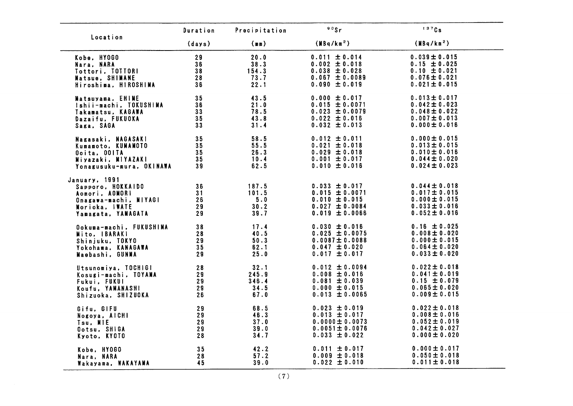|                          | Duration | Precipitation | $00s$ r                | 137Cs                  |
|--------------------------|----------|---------------|------------------------|------------------------|
| Location                 | (days)   | (m)           | (MBq/km <sup>2</sup> ) | (MBq/km <sup>2</sup> ) |
| Kobe, HY0GO              | 29       | 20.0          | $0.011 \pm 0.014$      | $0.039 \pm 0.015$      |
| Nara. NARA               | 36       | 38.3          | $0.002 \pm 0.018$      | $0.15 \pm 0.025$       |
| Tottori, TOTTORI         | 38       | 154.3         | $0.038 \pm 0.028$      | $0.10 \pm 0.021$       |
| Matsue, SHIMANE          | 28       | 73.7          | $0.067 \pm 0.0089$     | $0.076 \pm 0.021$      |
| Hiroshima, HIROSHIMA     | 36       | 22.1          | $0.090 \pm 0.019$      | $0.021 \pm 0.015$      |
| Matsuyama, EHINE         | 35       | 43.5          | $0.000 \pm 0.017$      | $0.013 \pm 0.017$      |
| Ishii-machi, TOKUSHIMA   | 36       | 21.0          | $0.015 \pm 0.0071$     | $0.042 \pm 0.023$      |
| Takamatsu, KAGAWA        | 33       | 78.5          | $0.023 \pm 0.0079$     | $0.048 \pm 0.022$      |
| Dazaifu, FUKUOKA         | 35       | 43.8          | $0.022 \pm 0.016$      | $0.007 \pm 0.013$      |
| Saga, SAGA               | 33       | 31.4          | $0.032 \pm 0.013$      | $0.000 \pm 0.016$      |
| Nagasaki, NAGASAKI       | 35       | 58.5          | $0.012 \pm 0.011$      | $0.000 \pm 0.015$      |
| Kumamoto, KUMAMOTO       | 35       | 55.5          | $0.021 \pm 0.018$      | $0.013 \pm 0.015$      |
| Ooita, OOITA             | 35       | 26.3          | $0.029 \pm 0.018$      | $0.010 \pm 0.016$      |
| Miyazaki, MIYAZAKI       | 35       | 10.4          | $0.001 \pm 0.017$      | $0.044 \pm 0.020$      |
| Yonagusuku-mura, OKINAWA | 39       | 62.5          | $0.010 \pm 0.016$      | $0.024 \pm 0.023$      |
| January, 1991            |          |               |                        |                        |
| Sapporo, HOKKAIDO        | 36       | 187.5         | $0.033 \pm 0.017$      | $0.044 \pm 0.018$      |
| Aomori, AOMORI           | 31       | 101.5         | $0.015 \pm 0.0071$     | $0.017 \pm 0.015$      |
| Onagawa-machi, NIYAGI    | 26       | 5.0           | $0.010 \pm 0.015$      | $0.000 \pm 0.015$      |
| Norioka, IWATE           | 29       | 30.2          | $0.027 \pm 0.0084$     | $0.033 \pm 0.016$      |
| Yamagata, YAMAGATA       | 29       | 39.7          | $0.019 \pm 0.0066$     | $0.052 \pm 0.016$      |
| Ookuma-machi, FUKUSHIMA  | 38       | 17.4          | $0.030 \pm 0.016$      | $0.16 \pm 0.025$       |
| Mito, IBARAKI            | 28       | 40.5          | $0.025 \pm 0.0075$     | $0.008 \pm 0.020$      |
| Shinjuku, TOKYO          | 29       | 50.3          | $0.0087 \pm 0.0088$    | $0.000 \pm 0.015$      |
| Yokohama, KANAGAWA       | 35       | 62.1          | $0.047 \pm 0.020$      | $0.064 \pm 0.020$      |
| Maebashi, GUNMA          | 29       | 25.0          | $0.017 \pm 0.017$      | $0.033 \pm 0.020$      |
| Utsunomiya, TOCHIGI      | 28       | 32.1          | $0.012 \pm 0.0094$     | $0.022 \pm 0.018$      |
| Kosugi-machi, TOYAMA     | 29       | 245.9         | $0.008 \pm 0.016$      | $0.041 \pm 0.019$      |
| Fukui, FUKUI             | 29       | 346.4         | $0.081 \pm 0.039$      | $0.15 \pm 0.079$       |
| Koufu, YAMANASHI         | 29       | 34.5          | $0.000 \pm 0.015$      | $0.065 \pm 0.020$      |
| Shizuoka, SHIZUOKA       | 26       | 67.0          | $0.013 \pm 0.0065$     | $0.009 \pm 0.015$      |
| Gifu, GIFU               | 29       | 68.5          | $0.023 \pm 0.019$      | $0.022 \pm 0.018$      |
| Nogoya, AICHI            | 29       | 46.3          | $0.013 \pm 0.017$      | $0.008 \pm 0.016$      |
| Tsu, MIE                 | 29       | 37.0          | $0.0000 \pm 0.0073$    | $0.052 \pm 0.019$      |
| Ootsu, SHIGA             | 29       | 39.0          | $0.0051 \pm 0.0076$    | $0.042 \pm 0.027$      |
| Kyoto, KYOTO             | 28       | 34.7          | $0.033 \pm 0.022$      | $0.000 \pm 0.020$      |
| Kobe, HYOGO              | 35       | 42.2          | $0.011 \pm 0.017$      | $0.000 \pm 0.017$      |
| Nara, NARA               | 28       | 57.2          | $0.009 \pm 0.018$      | $0.050 \pm 0.018$      |
| Wakayama, WAKAYAMA       | 45       | 39.0          | $0.022 \pm 0.010$      | $0.011 \pm 0.018$      |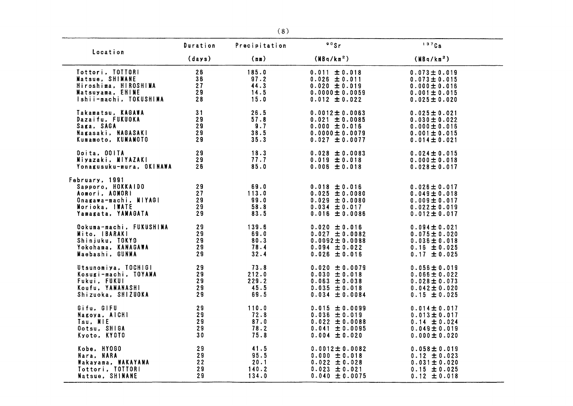|                                                                                                                        | Duration                   | Precipitation                         | 90Sr                                                                                                     | 1370s                                                                                                 |
|------------------------------------------------------------------------------------------------------------------------|----------------------------|---------------------------------------|----------------------------------------------------------------------------------------------------------|-------------------------------------------------------------------------------------------------------|
| Location                                                                                                               | (days)                     | (m)                                   | (MBa/km <sup>2</sup> )                                                                                   | (MBq/km <sup>2</sup> )                                                                                |
| Tottori, TOTTORI                                                                                                       | 26                         | 185.0                                 | $0.011 \pm 0.018$                                                                                        | $0.073 \pm 0.019$                                                                                     |
| Matsue, SHIMANE                                                                                                        | 36                         | 97.2                                  | $0.026 \pm 0.011$                                                                                        | $0.073 \pm 0.015$                                                                                     |
| Hiroshima, HIROSHIMA                                                                                                   | 27                         | 44.3                                  | $0.020 \pm 0.019$                                                                                        | $0.000 \pm 0.016$                                                                                     |
| Matsuyama, EHIME                                                                                                       | 29                         | 14.5                                  | $0.0000 \pm 0.0059$                                                                                      | $0.001 \pm 0.015$                                                                                     |
| Ishii-machi, TOKUSHIMA                                                                                                 | 28                         | 15.0                                  | $0.012 \pm 0.022$                                                                                        | $0.025 \pm 0.020$                                                                                     |
| Takamatsu, KAGAWA                                                                                                      | 31                         | 26.5                                  | $0.0012 \pm 0.0063$                                                                                      | $0.025 \pm 0.021$                                                                                     |
| Dazaifu, FUKUOKA                                                                                                       | 29                         | 57.8                                  | $0.021 \pm 0.0085$                                                                                       | $0.030 \pm 0.022$                                                                                     |
| Saga, SAGA                                                                                                             | 29                         | 9.7                                   | $0.000 \pm 0.016$                                                                                        | $0.000 \pm 0.016$                                                                                     |
| Nagasaki, NAGASAKI                                                                                                     | 29                         | 38.5                                  | $0.0000 \pm 0.0079$                                                                                      | $0.001 \pm 0.015$                                                                                     |
| Kumamoto, KUMANOTO                                                                                                     | 29                         | 35.3                                  | $0.027 \pm 0.0077$                                                                                       | $0.014 \pm 0.021$                                                                                     |
| Ooita, OOITA                                                                                                           | 29                         | 18.3                                  | $0.028 \pm 0.0083$                                                                                       | $0.024 \pm 0.015$                                                                                     |
| Miyazaki, MIYAZAKI                                                                                                     | 29                         | 77.7                                  | $0.019 \pm 0.018$                                                                                        | $0.000 \pm 0.018$                                                                                     |
| Yonagusuku-mura, OKINAWA                                                                                               | 26                         | 85.0                                  | $0.006 \pm 0.018$                                                                                        | $0.028 \pm 0.017$                                                                                     |
| February, 1991<br>Sapporo, HOKKAIDO<br>Aomori, AOMORI<br>Onagawa-machi, MIYAGI<br>Morioka, IWATE<br>Yamagata, YANAGATA | 29<br>27<br>29<br>29<br>29 | 69.0<br>113.0<br>99.0<br>58.8<br>83.5 | $0.018 \pm 0.016$<br>$0.025 \pm 0.0080$<br>$0.029 \pm 0.0080$<br>$0.034 \pm 0.017$<br>$0.016 \pm 0.0086$ | $0.026 \pm 0.017$<br>$0.049 \pm 0.018$<br>$0.009 \pm 0.017$<br>$0.022 \pm 0.019$<br>$0.012 \pm 0.017$ |
| Ookuma-machi, FUKUSHIMA                                                                                                | 29                         | 139.6                                 | $0.020 \pm 0.016$                                                                                        | $0.094 \pm 0.021$                                                                                     |
| Mito. IBARAKI                                                                                                          | 29                         | 69.0                                  | $0.027 \pm 0.0082$                                                                                       | $0.075 \pm 0.020$                                                                                     |
| Shinjuku, TOKYO                                                                                                        | 29                         | 80.3                                  | $0.0092 \pm 0.0088$                                                                                      | $0.036 \pm 0.018$                                                                                     |
| Yokohama, KANAGAWA                                                                                                     | 29                         | 78.4                                  | $0.094 \pm 0.022$                                                                                        | $0.16 \pm 0.025$                                                                                      |
| Maebashi, GUNMA                                                                                                        | 29                         | 32.4                                  | $0.026 \pm 0.016$                                                                                        | $0.17 \pm 0.025$                                                                                      |
| Utsunomiya, TOCHIGI                                                                                                    | 29                         | 73.8                                  | $0.020 \pm 0.0079$                                                                                       | $0.056 \pm 0.019$                                                                                     |
| Kosugi-machi, TOYAMA                                                                                                   | 29                         | 212.0                                 | $0.030 \pm 0.018$                                                                                        | $0.066 \pm 0.022$                                                                                     |
| Fukui, FUKUI                                                                                                           | 29                         | 229.2                                 | $0.063 \pm 0.038$                                                                                        | $0.028 \pm 0.073$                                                                                     |
| Koufu, YAMANASHI                                                                                                       | 29                         | 45.5                                  | $0.035 \pm 0.018$                                                                                        | $0.042 \pm 0.020$                                                                                     |
| Shizuoka, SHIZUOKA                                                                                                     | 29                         | 69.5                                  | $0.034 \pm 0.0084$                                                                                       | $0.15 \pm 0.025$                                                                                      |
| Gifu, GIFU                                                                                                             | 29                         | 110.0                                 | $0.015 \pm 0.0099$                                                                                       | $0.014 \pm 0.017$                                                                                     |
| Nagoya, AICHI                                                                                                          | 29                         | 72.8                                  | $0.036 \pm 0.019$                                                                                        | $0.013 \pm 0.017$                                                                                     |
| Tsu, MIE                                                                                                               | 29                         | 87.0                                  | $0.022 \pm 0.0088$                                                                                       | $0.14 \pm 0.024$                                                                                      |
| Ootsu, SHIGA                                                                                                           | 29                         | 78.2                                  | $0.041 \pm 0.0095$                                                                                       | $0.049 \pm 0.019$                                                                                     |
| Kyoto, KYOTO                                                                                                           | 30                         | 75.8                                  | $0.004 \pm 0.020$                                                                                        | $0.000 \pm 0.020$                                                                                     |
| Kobe, HYOGO                                                                                                            | 29                         | 41.5                                  | $0.0012 \pm 0.0082$                                                                                      | $0.058 \pm 0.019$                                                                                     |
| Nara, NARA                                                                                                             | 29                         | 95.5                                  | $0.000 \pm 0.018$                                                                                        | $0.12 \pm 0.023$                                                                                      |
| Wakayama, WAKAYANA                                                                                                     | 22                         | 20.1                                  | $0.022 \pm 0.028$                                                                                        | $0.031 \pm 0.020$                                                                                     |
| Tottori, TOTTORI                                                                                                       | 29                         | 140.2                                 | $0.023 \pm 0.021$                                                                                        | $0.15 \pm 0.025$                                                                                      |
| Matsue, SHIMANE                                                                                                        | 29                         | 134.0                                 | $0.040 \pm 0.0075$                                                                                       | $0.12 \pm 0.018$                                                                                      |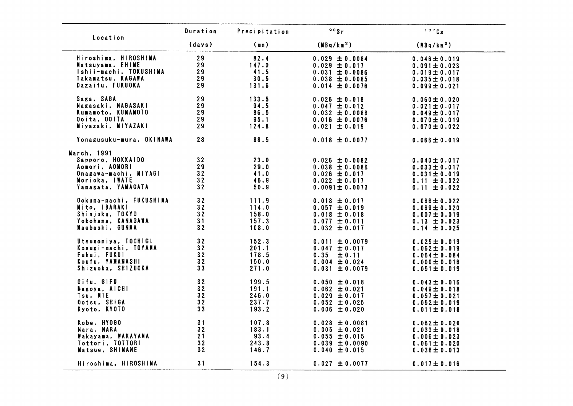| Location                 | Duration | Precipitation | $90$ Sr                | 137Cs                  |
|--------------------------|----------|---------------|------------------------|------------------------|
|                          | (days)   | (mn)          | (MBq/km <sup>2</sup> ) | (MBq/km <sup>2</sup> ) |
| Hiroshima, HIROSHIMA     | 29       | 82.4          | $0.029 \pm 0.0084$     | $0.046 \pm 0.019$      |
| Matsuyama, EHIME         | 29       | 147.0         | $0.029 \pm 0.017$      | 0.091 $\pm$ 0.023      |
| Ishii-machi, TOKUSHIMA   | 29       | 41.5          | $0.031 \pm 0.0086$     | $0.019 \pm 0.017$      |
| Takamatsu, KAGAWA        | 29       | 30.5          | $0.038 \pm 0.0085$     | $0.035 \pm 0.018$      |
| Dazaifu, FUKUOKA         | 29       |               |                        |                        |
|                          |          | 131.6         | $0.014 \pm 0.0076$     | $0.099 \pm 0.021$      |
| Saga, SAGA               | 29       | 133.5         | $0.026 \pm 0.018$      | $0.060 \pm 0.020$      |
| Nagasaki, NAGASAKI       | 29       | 94.5          | $0.047 \pm 0.012$      | $0.021 \pm 0.017$      |
| Kumamoto, KUMAMOTO       | 29       | 86.5          | $0.032 \pm 0.0086$     | $0.049 \pm 0.017$      |
| Ooita, OOITA             | 29       | 95.1          | $0.016 \pm 0.0076$     | $0.070 \pm 0.019$      |
| Miyazaki, MIYAZAKI       | 29       | 124.8         | $0.021 \pm 0.019$      | $0.070 \pm 0.022$      |
| Yonagusuku-mura, OKINAWA | 28       | 88.5          | $0.018 \pm 0.0077$     | $0.066 \pm 0.019$      |
| March, 1991              |          |               |                        |                        |
| Sapporo, HOKKAIDO        | 32       | 23.0          | $0.026 \pm 0.0082$     | 0.040 $\pm$ 0.017      |
| Aomori, AOMORI           | 29       | 29.0          | $0.038 \pm 0.0086$     | $0.033 \pm 0.017$      |
| Onagawa-machi, MIYAGI    | 32       | 41.0          | $0.026 \pm 0.017$      | $0.031 \pm 0.019$      |
|                          | 32       |               |                        |                        |
| Morioka, INATE           |          | 46.9          | $0.022 \pm 0.017$      | $0.11 \pm 0.022$       |
| Yamagata, YAMAGATA       | 32       | 50.9          | $0.0091 \pm 0.0073$    | $0.11 \pm 0.022$       |
| Ookuma-machi, FUKUSHIMA  | 32       | 111.9         | $0.018 \pm 0.017$      | $0.066 \pm 0.022$      |
| Mito, IBARAKI            | 32       | 114.0         | $0.057 \pm 0.019$      | $0.069 \pm 0.020$      |
| Shinjuku, TOKYO          | 32       | 158.0         | $0.018 \pm 0.018$      | $0.007 \pm 0.019$      |
| Yokohama, KANAGAWA       | 31       | 157.3         | $0.077 \pm 0.011$      | $0.13 \pm 0.023$       |
| Maebashi, GUNMA          | 32       | 108.0         | $0.032 \pm 0.017$      | $0.14 \pm 0.025$       |
| Utsunomiya, TOCHIGI      | 32       | 152.3         | $0.011 \pm 0.0079$     | $0.025 \pm 0.019$      |
| Kosugi-machi, TOYAMA     | 32       | 201.1         | $0.047 \pm 0.017$      | $0.062 \pm 0.019$      |
| Fukui, FUKUI             | 32       | 178.5         | 0.35<br>± 0.11         | 0.064 $\pm$ 0.084      |
| Koufu, YAMANASHI         | 32       | 150.0         | $0.004 \pm 0.024$      |                        |
|                          |          |               |                        | 0.000 $\pm$ 0.016      |
| Shizuoka, SHIZUOKA       | 33       | 271.0         | $0.031 \pm 0.0079$     | 0.051 $\pm$ 0.019      |
| Gifu, GIFU               | 32       | 199.5         | $0.050 \pm 0.018$      | $0.043 \pm 0.016$      |
| Nagoya, AICHI            | 32       | 191.1         | $0.062 \pm 0.021$      | $0.049 \pm 0.018$      |
| Tsu, MIE                 | 32       | 246.0         | $0.029 \pm 0.017$      | $0.057 \pm 0.021$      |
| Ootsu, SHIGA             | 32       | 237.7         | $0.052 \pm 0.025$      | $0.052 \pm 0.019$      |
| Kyoto, KYOTO             | 33       | 193.2         | $0.006 \pm 0.020$      | $0.011 \pm 0.018$      |
| Kobe, HY0GO              | 31       | 107.8         | $0.028 \pm 0.0081$     | $0.062 \pm 0.020$      |
| Nara, NARA               | 32       | 183.1         | $0.005 \pm 0.021$      | 0.033 $\pm$ 0.018      |
| Wakayama, WAKAYAMA       | 21       | 93.4          | $0.055 \pm 0.015$      | 0.006 $\pm$ 0.023      |
| Tottori, TOTTORI         | 32       | 243.8         |                        |                        |
|                          |          |               | $0.039 \pm 0.0090$     | $0.061 \pm 0.020$      |
| Matsue, SHIMANE          | 32       | 146.7         | $0.040 \pm 0.015$      | $0.036 \pm 0.013$      |
| Hiroshima, HIROSHIMA     | 31       | 154.3         | $0.027 \pm 0.0077$     | $0.017 \pm 0.016$      |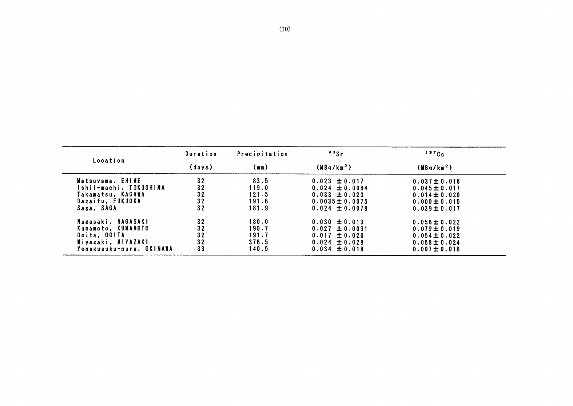|                          | Duration | Precipitation | $\degree$ <sup>90</sup> Sr | 137Cs                  |
|--------------------------|----------|---------------|----------------------------|------------------------|
| Location                 | (days)   | (m)           | (MBq/km <sup>2</sup> )     | (MBq/km <sup>2</sup> ) |
| Matsuyama, EHIME         | 32       | 83.5          | $0.023 \pm 0.017$          | $0.037 \pm 0.018$      |
| Ishii-machi. TOKUSHIMA   | 32       | 119.0         | $0.024 \pm 0.0084$         | $0.045 \pm 0.017$      |
| Takamatsu. KAGAWA        | 32       | 121.5         | $0.033 \pm 0.020$          | $0.014 \pm 0.020$      |
| Dazaifu, FUKUOKA         | 32       | 191.6         | $0.0035 \pm 0.0075$        | $0.000 \pm 0.015$      |
| Saga, SAGA               | 32       | 181.9         | $0.024 \pm 0.0078$         | $0.039 \pm 0.017$      |
| Nagasaki. NAGASAKI       | 32       | 180.0         | $0.030 \pm 0.013$          | $0.056 \pm 0.022$      |
| Kumamoto. KUMAMOTO       | 32       | 190.7         | $0.027 \pm 0.0091$         | $0.079 \pm 0.019$      |
| Ooita. OOITA             | 32       | 191.7         | $0.017 \pm 0.020$          | $0.054 \pm 0.022$      |
| Miyazaki, MIYAZAKI       | 32       | 376.5         | $0.024 \pm 0.028$          | $0.058 \pm 0.024$      |
| Yonagusuku-mura. OKINAWA | 33       | 140.5         | $0.034 \pm 0.018$          | $0.007 \pm 0.016$      |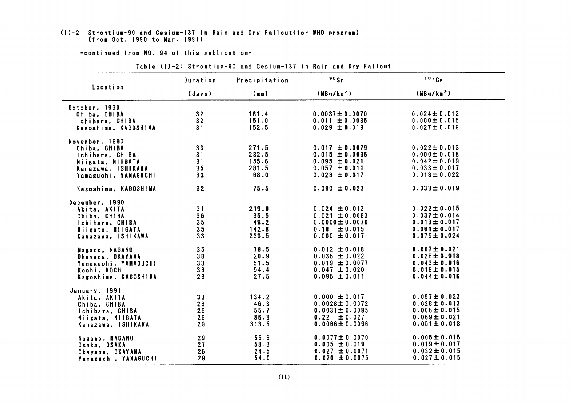## (1)-2 Strontium-90 and Cesium-137 in Rain and Dry Fallout(for WHO program)<br>(from Oct. 1990 to Mar. 1991)

|                                                                                                                     | Duration                   | Precipitation                            | $90$ Sr                                                                                                    | 137Cs                                                                                                 |
|---------------------------------------------------------------------------------------------------------------------|----------------------------|------------------------------------------|------------------------------------------------------------------------------------------------------------|-------------------------------------------------------------------------------------------------------|
| Location                                                                                                            | (days)                     | (mn)                                     | (MBq/km <sup>2</sup> )                                                                                     | (MBq/km <sup>2</sup> )                                                                                |
| October, 1990<br>Chiba, CHIBA<br>Ichihara, CHIBA<br>Kagoshima, KAGOSHIMA                                            | 32<br>32<br>31             | 161.4<br>151.0<br>152.5                  | $0.0037 \pm 0.0070$<br>$0.011 \pm 0.0085$<br>$0.029 \pm 0.019$                                             | $0.024 \pm 0.012$<br>$0.000 \pm 0.015$<br>$0.027 \pm 0.019$                                           |
| November, 1990<br>Chiba, CHIBA<br>Ichihara, CHIBA<br>Niigata, NIIGATA<br>Kanazawa, ISHIKAWA<br>Yamaguchi, YAMAGUCHI | 33<br>31<br>31<br>35<br>33 | 271.5<br>282.5<br>155.6<br>281.5<br>68.0 | $0.017 \pm 0.0079$<br>$0.015 \pm 0.0096$<br>$0.095 \pm 0.021$<br>$0.057 \pm 0.011$<br>$0.028 \pm 0.017$    | $0.022 \pm 0.013$<br>$0.000 \pm 0.018$<br>$0.042 \pm 0.019$<br>$0.033 \pm 0.017$<br>$0.018 \pm 0.022$ |
| Kagoshima, KAGOSHIMA                                                                                                | 32                         | 75.5                                     | $0.080 \pm 0.023$                                                                                          | $0.033 \pm 0.019$                                                                                     |
| December, 1990<br>Akita, AKITA<br>Chiba, CHIBA<br>Ichihara, CHIBA<br>Niigata, N11GATA<br>Kanazawa, ISHIKAWA         | 31<br>36<br>35<br>35<br>33 | 219.0<br>35.5<br>49.2<br>142.8<br>233.5  | $0.024 \pm 0.013$<br>$0.021 \pm 0.0083$<br>$0.0000 \pm 0.0076$<br>$0.19 \pm 0.015$<br>$0.000 \pm 0.017$    | $0.022 \pm 0.015$<br>$0.037 \pm 0.014$<br>$0.013 \pm 0.017$<br>$0.061 \pm 0.017$<br>$0.075 \pm 0.024$ |
| Nagano, NAGANO<br>Okayama, OKAYAMA<br>Yamaguchi, YAMAGUCH!<br>Kochi, KOCHI<br>Kagoshima, KAGOSHIMA                  | 35<br>38<br>33<br>38<br>28 | 78.5<br>20.9<br>51.5<br>54.4<br>27.5     | $0.012 \pm 0.018$<br>$0.036 \pm 0.022$<br>$0.019 \pm 0.0077$<br>$0.047 \pm 0.020$<br>$0.095 \pm 0.011$     | $0.007 \pm 0.021$<br>$0.028 \pm 0.018$<br>$0.043 \pm 0.016$<br>$0.018 \pm 0.015$<br>$0.044 \pm 0.016$ |
| January, 1991<br>Akita, AKITA<br>Chiba, CHIBA<br>Ichihara, CHIBA<br>Niigata, NIIGATA<br>Kanazawa, ISHIKAWA          | 33<br>26<br>29<br>29<br>29 | 134.2<br>46.3<br>55.7<br>86.3<br>313.5   | $0.000 \pm 0.017$<br>$0.0028 \pm 0.0072$<br>$0.0031 \pm 0.0085$<br>$0.22 \pm 0.027$<br>$0.0066 \pm 0.0096$ | $0.057 \pm 0.023$<br>$0.028 \pm 0.013$<br>$0.006 \pm 0.015$<br>$0.069 \pm 0.021$<br>$0.051 \pm 0.018$ |
| Nagano, NAGANO<br>Osaka, OSAKA<br>Okayama, OKAYAMA<br>Yamaguchi, YAMAGUCHI                                          | 29<br>27<br>26<br>29       | 55.6<br>58.3<br>24.5<br>54.0             | $0.0077 \pm 0.0070$<br>$0.005 \pm 0.019$<br>$0.027 \pm 0.0071$<br>$0.020 \pm 0.0075$                       | $0.005 \pm 0.015$<br>$0.019 \pm 0.017$<br>$0.032 \pm 0.015$<br>$0.027 \pm 0.015$                      |

Table (1)-2: Strontium-90 and Cesium-137 in Rain and Dry Fallout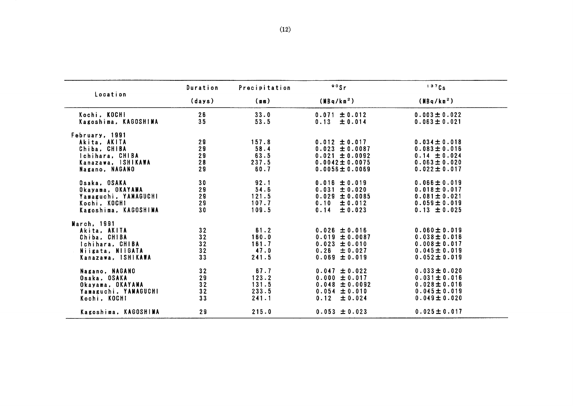|                                                                                                           | Duration                   | Precipitation                            | 90Sr                                                                                                        | 137Cs                                                                                                 |
|-----------------------------------------------------------------------------------------------------------|----------------------------|------------------------------------------|-------------------------------------------------------------------------------------------------------------|-------------------------------------------------------------------------------------------------------|
| Location                                                                                                  | (days)                     | (m)                                      | (MBq/km <sup>2</sup> )                                                                                      | (MBq/km <sup>2</sup> )                                                                                |
| Kochi, KOCHI<br>Kagoshima, KAGOSHIMA                                                                      | 26<br>35                   | 33.0<br>53.5                             | $0.071 \pm 0.012$<br>$0.13 \pm 0.014$                                                                       | $0.003 \pm 0.022$<br>$0.063 \pm 0.021$                                                                |
| February, 1991<br>Akita, AKITA<br>Chiba, CHIBA<br>Ichihara. CHIBA<br>Kanazawa, ISHIKAWA<br>Nagano. NAGANO | 29<br>29<br>29<br>28<br>29 | 157.8<br>58.4<br>63.5<br>237.5<br>60.7   | $0.012 \pm 0.017$<br>$0.023 \pm 0.0087$<br>$0.021 \pm 0.0092$<br>$0.0042 \pm 0.0075$<br>$0.0056 \pm 0.0069$ | $0.034 \pm 0.018$<br>$0.083 \pm 0.016$<br>$0.14 \pm 0.024$<br>$0.063 \pm 0.020$<br>$0.022 \pm 0.017$  |
| Osaka, OSAKA<br>Okayama, OKAYAMA<br>Yamaguchi, YAMAGUCHI<br>Kochi, KOCHI<br>Kagoshima, KAGOSHINA          | 30<br>29<br>29<br>29<br>30 | 92.1<br>54.6<br>121.5<br>107.7<br>109.5  | $0.016 \pm 0.019$<br>$0.031 \pm 0.020$<br>$0.029 \pm 0.0085$<br>$0.10 \pm 0.012$<br>± 0.023<br>0.14         | $0.066 \pm 0.019$<br>$0.018 \pm 0.017$<br>$0.081 \pm 0.021$<br>$0.059 \pm 0.019$<br>$0.13 \pm 0.025$  |
| March, 1991<br>Akita, AKITA<br>Chiba, CHIBA<br>Ichihara, CHIBA<br>Niigata, NIIGATA<br>Kanazawa, ISHIKAWA  | 32<br>32<br>32<br>32<br>33 | 61.2<br>160.0<br>161.7<br>47.0<br>241.5  | $0.026 \pm 0.016$<br>$0.019 \pm 0.0087$<br>$0.023 \pm 0.010$<br>$0.26 \pm 0.027$<br>$0.069 \pm 0.019$       | $0.060 \pm 0.019$<br>$0.038 \pm 0.016$<br>$0.008 \pm 0.017$<br>$0.045 \pm 0.019$<br>$0.052 \pm 0.019$ |
| Nagano, NAGANO<br>Osaka, OSAKA<br>Okayama. OKAYAMA<br>Yamaguchi, YAMAGUCHI<br>Kochi, KOCHI                | 32<br>29<br>32<br>32<br>33 | 67.7<br>123.2<br>131.5<br>233.5<br>241.1 | $0.047 \pm 0.022$<br>$0.000 \pm 0.017$<br>$0.048 \pm 0.0092$<br>$0.054 \pm 0.010$<br>0.12<br>± 0.024        | $0.033 \pm 0.020$<br>$0.031 \pm 0.016$<br>$0.028 \pm 0.016$<br>$0.045 \pm 0.019$<br>$0.049 \pm 0.020$ |
| Kagoshima, KAGOSHIMA                                                                                      | 29                         | 215.0                                    | $0.053 \pm 0.023$                                                                                           | $0.025 \pm 0.017$                                                                                     |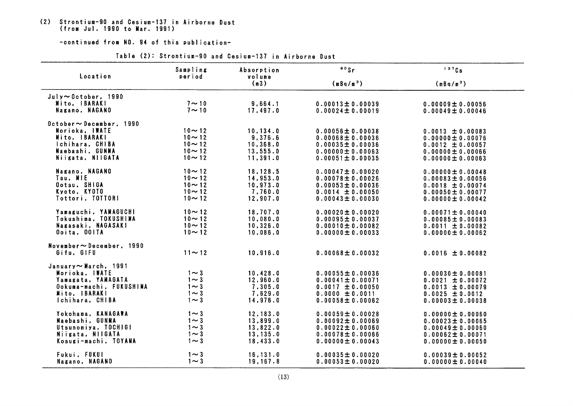## (2) Strontium-90 and Cesium-137 in Airborne Dust<br>(from Jul. 1990 to Mar. 1991)

| Location<br>period<br>volume<br>(m3)<br>(mBq/m <sup>3</sup> )<br>(mBq/m <sup>3</sup> )<br>$July \sim October.$ 1990<br>$7 \sim 10$<br>Mito, IBARAKI<br>9,664.1<br>$0.00013 \pm 0.00039$<br>$0.00009 \pm 0.00056$<br>Nagano, NAGANO<br>$7 \sim 10$<br>17,497.0<br>$0.00024 \pm 0.00019$<br>$0.00049 \pm 0.00046$<br>$0$ ctober $\sim$ December, 1990<br>Morioka, IWATE<br>$10 - 12$<br>10, 134.0<br>$0.00056 \pm 0.00038$<br>$0.0013 \pm 0.00083$<br>Mito, IBARAKI<br>$10 - 12$<br>9,376.6<br>$0.00068 \pm 0.00036$<br>$0.00000 \pm 0.00076$<br>Ichihara, CHIBA<br>$10 - 12$<br>10, 368.0<br>$0.00035 \pm 0.00036$<br>$0.0012 \pm 0.00057$<br>Maebashi, GUNMA<br>$10 - 12$<br>13,555.0<br>$0.00000 \pm 0.00063$<br>$0.00000 \pm 0.00066$<br>Niigata, NIIGATA<br>$10 - 12$<br>11,391.0<br>$0.00051 \pm 0.00035$<br>$0.00000 \pm 0.00063$<br>Nagano, NAGANO<br>$10 - 12$<br>18,128.5<br>$0.00047 \pm 0.00020$<br>$0.00000 \pm 0.00048$<br>Tsu, MIE<br>$10 - 12$<br>14,953.0<br>$0.00078 \pm 0.00026$<br>$0.00083 \pm 0.00056$<br>Ootsu, SHIGA<br>$10 - 12$<br>10, 973.0<br>$0.00053 \pm 0.00036$<br>$0.0018 \pm 0.00074$<br>Kyoto, KYOTO<br>$10 - 12$<br>7,760.0<br>$0.0014 \pm 0.00050$<br>$0.00050 \pm 0.00077$<br>Tottori, TOTTORI<br>$10 - 12$<br>12,907.0<br>$0.00043 \pm 0.00030$<br>$0.00000 \pm 0.00042$<br>Yamaguchi, YAMAGUCHI<br>$10 - 12$<br>18,707.0<br>$0.00020 \pm 0.00020$<br>$0.00071 \pm 0.00040$<br>Tokushima, TOKUSHIMA<br>$10 - 12$<br>10.080.0<br>$0.00095 \pm 0.00037$<br>$0.00085 \pm 0.00083$<br>Nagasaki, NAGASAKI<br>$10 - 12$<br>10.326.0<br>$0.00010 \pm 0.00082$<br>$0.0011 \pm 0.00082$<br>Ooita, OOITA<br>$10 - 12$<br>10,086.0<br>$0.00000 \pm 0.00033$<br>$0.00000 \pm 0.00062$<br>November $\sim$ December, 1990<br>Gifu, GIFU<br>$11 \sim 12$<br>10, 916.0<br>$0.00068 \pm 0.00032$<br>$0.0016 \pm 0.00082$<br>January~March, 1991<br>Morioka, IWATE<br>$1 \sim 3$<br>10,428.0<br>$0.00055 \pm 0.00036$<br>$0.00030 \pm 0.00081$ |  |
|-------------------------------------------------------------------------------------------------------------------------------------------------------------------------------------------------------------------------------------------------------------------------------------------------------------------------------------------------------------------------------------------------------------------------------------------------------------------------------------------------------------------------------------------------------------------------------------------------------------------------------------------------------------------------------------------------------------------------------------------------------------------------------------------------------------------------------------------------------------------------------------------------------------------------------------------------------------------------------------------------------------------------------------------------------------------------------------------------------------------------------------------------------------------------------------------------------------------------------------------------------------------------------------------------------------------------------------------------------------------------------------------------------------------------------------------------------------------------------------------------------------------------------------------------------------------------------------------------------------------------------------------------------------------------------------------------------------------------------------------------------------------------------------------------------------------------------------------------------------------------------------------------------------------------------------------------------------------|--|
|                                                                                                                                                                                                                                                                                                                                                                                                                                                                                                                                                                                                                                                                                                                                                                                                                                                                                                                                                                                                                                                                                                                                                                                                                                                                                                                                                                                                                                                                                                                                                                                                                                                                                                                                                                                                                                                                                                                                                                   |  |
|                                                                                                                                                                                                                                                                                                                                                                                                                                                                                                                                                                                                                                                                                                                                                                                                                                                                                                                                                                                                                                                                                                                                                                                                                                                                                                                                                                                                                                                                                                                                                                                                                                                                                                                                                                                                                                                                                                                                                                   |  |
|                                                                                                                                                                                                                                                                                                                                                                                                                                                                                                                                                                                                                                                                                                                                                                                                                                                                                                                                                                                                                                                                                                                                                                                                                                                                                                                                                                                                                                                                                                                                                                                                                                                                                                                                                                                                                                                                                                                                                                   |  |
|                                                                                                                                                                                                                                                                                                                                                                                                                                                                                                                                                                                                                                                                                                                                                                                                                                                                                                                                                                                                                                                                                                                                                                                                                                                                                                                                                                                                                                                                                                                                                                                                                                                                                                                                                                                                                                                                                                                                                                   |  |
|                                                                                                                                                                                                                                                                                                                                                                                                                                                                                                                                                                                                                                                                                                                                                                                                                                                                                                                                                                                                                                                                                                                                                                                                                                                                                                                                                                                                                                                                                                                                                                                                                                                                                                                                                                                                                                                                                                                                                                   |  |
|                                                                                                                                                                                                                                                                                                                                                                                                                                                                                                                                                                                                                                                                                                                                                                                                                                                                                                                                                                                                                                                                                                                                                                                                                                                                                                                                                                                                                                                                                                                                                                                                                                                                                                                                                                                                                                                                                                                                                                   |  |
|                                                                                                                                                                                                                                                                                                                                                                                                                                                                                                                                                                                                                                                                                                                                                                                                                                                                                                                                                                                                                                                                                                                                                                                                                                                                                                                                                                                                                                                                                                                                                                                                                                                                                                                                                                                                                                                                                                                                                                   |  |
|                                                                                                                                                                                                                                                                                                                                                                                                                                                                                                                                                                                                                                                                                                                                                                                                                                                                                                                                                                                                                                                                                                                                                                                                                                                                                                                                                                                                                                                                                                                                                                                                                                                                                                                                                                                                                                                                                                                                                                   |  |
|                                                                                                                                                                                                                                                                                                                                                                                                                                                                                                                                                                                                                                                                                                                                                                                                                                                                                                                                                                                                                                                                                                                                                                                                                                                                                                                                                                                                                                                                                                                                                                                                                                                                                                                                                                                                                                                                                                                                                                   |  |
|                                                                                                                                                                                                                                                                                                                                                                                                                                                                                                                                                                                                                                                                                                                                                                                                                                                                                                                                                                                                                                                                                                                                                                                                                                                                                                                                                                                                                                                                                                                                                                                                                                                                                                                                                                                                                                                                                                                                                                   |  |
|                                                                                                                                                                                                                                                                                                                                                                                                                                                                                                                                                                                                                                                                                                                                                                                                                                                                                                                                                                                                                                                                                                                                                                                                                                                                                                                                                                                                                                                                                                                                                                                                                                                                                                                                                                                                                                                                                                                                                                   |  |
|                                                                                                                                                                                                                                                                                                                                                                                                                                                                                                                                                                                                                                                                                                                                                                                                                                                                                                                                                                                                                                                                                                                                                                                                                                                                                                                                                                                                                                                                                                                                                                                                                                                                                                                                                                                                                                                                                                                                                                   |  |
|                                                                                                                                                                                                                                                                                                                                                                                                                                                                                                                                                                                                                                                                                                                                                                                                                                                                                                                                                                                                                                                                                                                                                                                                                                                                                                                                                                                                                                                                                                                                                                                                                                                                                                                                                                                                                                                                                                                                                                   |  |
|                                                                                                                                                                                                                                                                                                                                                                                                                                                                                                                                                                                                                                                                                                                                                                                                                                                                                                                                                                                                                                                                                                                                                                                                                                                                                                                                                                                                                                                                                                                                                                                                                                                                                                                                                                                                                                                                                                                                                                   |  |
|                                                                                                                                                                                                                                                                                                                                                                                                                                                                                                                                                                                                                                                                                                                                                                                                                                                                                                                                                                                                                                                                                                                                                                                                                                                                                                                                                                                                                                                                                                                                                                                                                                                                                                                                                                                                                                                                                                                                                                   |  |
|                                                                                                                                                                                                                                                                                                                                                                                                                                                                                                                                                                                                                                                                                                                                                                                                                                                                                                                                                                                                                                                                                                                                                                                                                                                                                                                                                                                                                                                                                                                                                                                                                                                                                                                                                                                                                                                                                                                                                                   |  |
|                                                                                                                                                                                                                                                                                                                                                                                                                                                                                                                                                                                                                                                                                                                                                                                                                                                                                                                                                                                                                                                                                                                                                                                                                                                                                                                                                                                                                                                                                                                                                                                                                                                                                                                                                                                                                                                                                                                                                                   |  |
|                                                                                                                                                                                                                                                                                                                                                                                                                                                                                                                                                                                                                                                                                                                                                                                                                                                                                                                                                                                                                                                                                                                                                                                                                                                                                                                                                                                                                                                                                                                                                                                                                                                                                                                                                                                                                                                                                                                                                                   |  |
|                                                                                                                                                                                                                                                                                                                                                                                                                                                                                                                                                                                                                                                                                                                                                                                                                                                                                                                                                                                                                                                                                                                                                                                                                                                                                                                                                                                                                                                                                                                                                                                                                                                                                                                                                                                                                                                                                                                                                                   |  |
|                                                                                                                                                                                                                                                                                                                                                                                                                                                                                                                                                                                                                                                                                                                                                                                                                                                                                                                                                                                                                                                                                                                                                                                                                                                                                                                                                                                                                                                                                                                                                                                                                                                                                                                                                                                                                                                                                                                                                                   |  |
|                                                                                                                                                                                                                                                                                                                                                                                                                                                                                                                                                                                                                                                                                                                                                                                                                                                                                                                                                                                                                                                                                                                                                                                                                                                                                                                                                                                                                                                                                                                                                                                                                                                                                                                                                                                                                                                                                                                                                                   |  |
|                                                                                                                                                                                                                                                                                                                                                                                                                                                                                                                                                                                                                                                                                                                                                                                                                                                                                                                                                                                                                                                                                                                                                                                                                                                                                                                                                                                                                                                                                                                                                                                                                                                                                                                                                                                                                                                                                                                                                                   |  |
|                                                                                                                                                                                                                                                                                                                                                                                                                                                                                                                                                                                                                                                                                                                                                                                                                                                                                                                                                                                                                                                                                                                                                                                                                                                                                                                                                                                                                                                                                                                                                                                                                                                                                                                                                                                                                                                                                                                                                                   |  |
| Yamagata, YAMAGATA<br>$1 \sim 3$<br>12,960.0<br>$0.00041 \pm 0.00071$<br>$0.0021 \pm 0.00072$                                                                                                                                                                                                                                                                                                                                                                                                                                                                                                                                                                                                                                                                                                                                                                                                                                                                                                                                                                                                                                                                                                                                                                                                                                                                                                                                                                                                                                                                                                                                                                                                                                                                                                                                                                                                                                                                     |  |
| Ookuma-machi, FUKUSHINA<br>$1 \sim 3$<br>7,305.0<br>$0.0017 \pm 0.00050$<br>$0.0013 \pm 0.00079$                                                                                                                                                                                                                                                                                                                                                                                                                                                                                                                                                                                                                                                                                                                                                                                                                                                                                                                                                                                                                                                                                                                                                                                                                                                                                                                                                                                                                                                                                                                                                                                                                                                                                                                                                                                                                                                                  |  |
| Mito, IBARAKI<br>$1 \sim 3$<br>7,629.0<br>$0.0000 \pm 0.0011$<br>$0.0025 \pm 0.0012$                                                                                                                                                                                                                                                                                                                                                                                                                                                                                                                                                                                                                                                                                                                                                                                                                                                                                                                                                                                                                                                                                                                                                                                                                                                                                                                                                                                                                                                                                                                                                                                                                                                                                                                                                                                                                                                                              |  |
| Ichihara, CHIBA<br>$1 \sim 3$<br>14,976.0<br>$0.00058 \pm 0.00062$<br>$0.00003 \pm 0.00038$                                                                                                                                                                                                                                                                                                                                                                                                                                                                                                                                                                                                                                                                                                                                                                                                                                                                                                                                                                                                                                                                                                                                                                                                                                                                                                                                                                                                                                                                                                                                                                                                                                                                                                                                                                                                                                                                       |  |
| Yokohama, KANAGAWA<br>$1 \sim 3$<br>12, 183.0<br>$0.00059 \pm 0.00028$<br>$0.00000 \pm 0.00060$                                                                                                                                                                                                                                                                                                                                                                                                                                                                                                                                                                                                                                                                                                                                                                                                                                                                                                                                                                                                                                                                                                                                                                                                                                                                                                                                                                                                                                                                                                                                                                                                                                                                                                                                                                                                                                                                   |  |
| Maebashi, GUNMA<br>$1 \sim 3$<br>13,899.0<br>$0.00092 \pm 0.00069$<br>$0.00023 \pm 0.00065$                                                                                                                                                                                                                                                                                                                                                                                                                                                                                                                                                                                                                                                                                                                                                                                                                                                                                                                                                                                                                                                                                                                                                                                                                                                                                                                                                                                                                                                                                                                                                                                                                                                                                                                                                                                                                                                                       |  |
| Utsunomiya, TOCHIGI<br>$1 \sim 3$<br>13,822.0<br>$0.00022 \pm 0.00060$<br>$0.00049 \pm 0.00060$                                                                                                                                                                                                                                                                                                                                                                                                                                                                                                                                                                                                                                                                                                                                                                                                                                                                                                                                                                                                                                                                                                                                                                                                                                                                                                                                                                                                                                                                                                                                                                                                                                                                                                                                                                                                                                                                   |  |
| Niigata, NIIGATA<br>$1 \sim 3$<br>13, 135.0<br>$0.00078 \pm 0.00066$<br>$0.00062 \pm 0.00071$                                                                                                                                                                                                                                                                                                                                                                                                                                                                                                                                                                                                                                                                                                                                                                                                                                                                                                                                                                                                                                                                                                                                                                                                                                                                                                                                                                                                                                                                                                                                                                                                                                                                                                                                                                                                                                                                     |  |
| Kosugi-machi, IOYAMA<br>$1 \sim 3$<br>18,433.0<br>$0.00000 \pm 0.00043$<br>$0.00000 \pm 0.00050$                                                                                                                                                                                                                                                                                                                                                                                                                                                                                                                                                                                                                                                                                                                                                                                                                                                                                                                                                                                                                                                                                                                                                                                                                                                                                                                                                                                                                                                                                                                                                                                                                                                                                                                                                                                                                                                                  |  |
| Fukui, FUKUI<br>$1 \sim 3$<br>16, 131.0<br>$0.00035 \pm 0.00020$<br>$0.00039 \pm 0.00052$                                                                                                                                                                                                                                                                                                                                                                                                                                                                                                                                                                                                                                                                                                                                                                                                                                                                                                                                                                                                                                                                                                                                                                                                                                                                                                                                                                                                                                                                                                                                                                                                                                                                                                                                                                                                                                                                         |  |
| Nagano, NAGANO<br>$1 \sim 3$<br>19,167.8<br>$0.00053 \pm 0.00020$<br>$0.00000 \pm 0.00040$                                                                                                                                                                                                                                                                                                                                                                                                                                                                                                                                                                                                                                                                                                                                                                                                                                                                                                                                                                                                                                                                                                                                                                                                                                                                                                                                                                                                                                                                                                                                                                                                                                                                                                                                                                                                                                                                        |  |

Table (2): Strontium-90 and Cesium-137 in Airborne Dust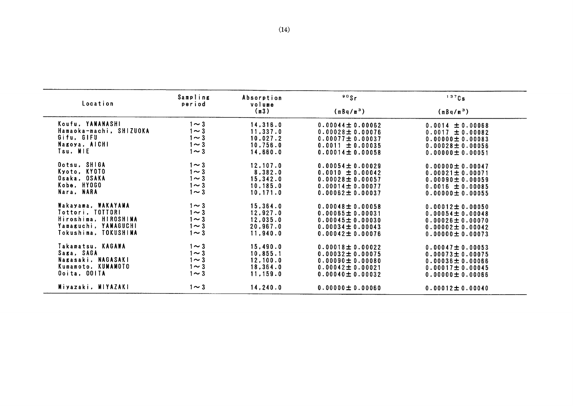| Location                | Sampling<br>period | Absorption<br>volume | 80Sr                  | 137Cs                 |
|-------------------------|--------------------|----------------------|-----------------------|-----------------------|
|                         |                    | (m3)                 | (mBq/m <sup>3</sup> ) | (mBq/m <sup>3</sup> ) |
| Koufu, YANANASHI        | 1 $\sim$ 3         | 14,316.0             | $0.00044 \pm 0.00062$ | $0.0014 \pm 0.00068$  |
| Hamaoka-machi, SHIZUOKA | 1 $\sim$ 3         | 11,337.0             | $0.00028 \pm 0.00076$ | $0.0017 \pm 0.00082$  |
| Gifu, GIFU              | 1 $\sim$ 3         | 10,027.2             | $0.00077 \pm 0.00037$ | $0.00000 \pm 0.00083$ |
| Nagoya, AICHI           | $1 \sim 3$         | 10,756.0             | $0.0011 \pm 0.00035$  | $0.00028 \pm 0.00056$ |
| Tsu, MIE                | $1 \sim 3$         | 14,660.0             | $0.00014 \pm 0.00058$ | $0.00000 \pm 0.00051$ |
| Ootsu, SHIGA            | $1 \sim 3$         | 12,107.0             | $0.00054 \pm 0.00029$ | $0.00000 \pm 0.00047$ |
| Kyoto, KYOTO            | $1 \sim 3$         | 8,382.0              | $0.0010 \pm 0.00042$  | $0.00021 \pm 0.00071$ |
| Osaka, OSAKA            | $1 \sim 3$         | 15, 342.0            | $0.00028 \pm 0.00057$ | $0.00090 \pm 0.00059$ |
| Kobe, HY0GO             | $1 \sim 3$         | 10, 185.0            | $0.00014 \pm 0.00077$ | $0.0016 \pm 0.00085$  |
| Nara, NARA              | $1 \sim 3$         | 10.171.0             | $0.00062 \pm 0.00037$ | $0.00000 \pm 0.00055$ |
| Wakayama, WAKAYAMA      | $1 \sim 3$         | 15,364.0             | $0.00048 \pm 0.00058$ | $0.00012 \pm 0.00050$ |
| Tottori, TOTTORI        | $1 \sim 3$         | 12, 927.0            | $0.00065 \pm 0.00031$ | $0.00054 \pm 0.00048$ |
| Hiroshima, HIROSHIMA    | $1 \sim 3$         | 12,035.0             | $0.00045 \pm 0.00030$ | $0.00026 \pm 0.00070$ |
| Yamaguchi, YAMAGUCHI    | $1 \sim 3$         | 20,967.0             | $0.00034 \pm 0.00043$ | $0.00002 \pm 0.00042$ |
| Tokushima, TOKUSHIMA    | $1 \sim 3$         | 11,940.0             | $0.00042 \pm 0.00076$ | $0.00000 \pm 0.00073$ |
| Takamatsu. KAGAWA       | $1 \sim 3$         | 15,490.0             | $0.00018 \pm 0.00022$ | $0.00047 \pm 0.00053$ |
| Saga, SAGA              | $1 \sim 3$         | 10,855.1             | $0.00032 \pm 0.00075$ | $0.00073 \pm 0.00075$ |
| Nagasaki, NAGASAKI      | 1 $\sim$ 3         | 12,100.0             | $0.00090 \pm 0.00080$ | $0.00036 \pm 0.00066$ |
| Kumamoto, KUMAMOTO      | 1 $\sim$ 3         | 18,364.0             | $0.00042 \pm 0.00021$ | 0.00017 $\pm$ 0.00045 |
| Ooita, OOITA            | $1 \sim 3$         | 11,159.0             | $0.00040 \pm 0.00032$ | $0.00000 \pm 0.00066$ |
| Miyazaki, MIYAZAKI      | $1 \sim 3$         | 14, 240.0            | $0.00000 \pm 0.00060$ | $0.00012 \pm 0.00040$ |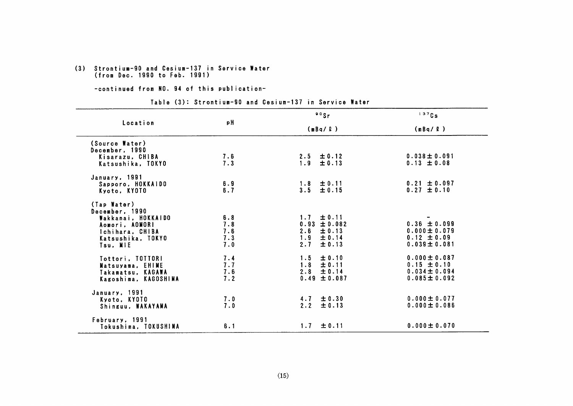# (3) Strontium-90 and Cesium-137 in Service Water<br>(from Dec. 1990 to Feb. 1991)

#### -continued from NO. 94 of this publication-

#### Table (3): Strontium-90 and Cesium-137 in Service Water

|                      |                | $80$ Sr          | 137Cs             |  |
|----------------------|----------------|------------------|-------------------|--|
| Location             | рH             | (mBq/L)          | (mBq/P)           |  |
| (Source Water)       |                |                  |                   |  |
| December, 1990       |                |                  |                   |  |
| Kisarazu, CHIBA      | 7.6            | $2.5 \pm 0.12$   | $0.038 \pm 0.091$ |  |
| Katsushika, TOKYO    | 7.3            | $1.9 \pm 0.13$   | $0.13 \pm 0.08$   |  |
| January, 1991        |                |                  |                   |  |
| Sapporo, HOKKAIDO    | 6.9            | $1.8 \pm 0.11$   | $0.21 \pm 0.097$  |  |
| Kyoto, KYOTO         | 6.7            | $3.5 \pm 0.15$   | $0.27 \pm 0.10$   |  |
| (Tap Water)          |                |                  |                   |  |
| December, 1990       |                |                  |                   |  |
| Wakkanai, HOKKAIDO   | 6.8            | $1.7 \pm 0.11$   |                   |  |
| Aomori, AOMORI       | 7.8            | $0.93 \pm 0.082$ | $0.36 \pm 0.099$  |  |
| Ichihara, CHIBA      | $7.6$<br>$7.3$ | $2.6 \pm 0.13$   | $0.000 \pm 0.079$ |  |
| Katsushika, TOKYO    |                | $1.9 \pm 0.14$   | $0.12 \pm 0.09$   |  |
| Tsu. MIE             | 7.0            | $2.7 \pm 0.13$   | $0.039 \pm 0.081$ |  |
| Tottori, TOTTORI     | 7.4            | $1.5 \pm 0.10$   | $0.000 \pm 0.087$ |  |
| Matsuyama, EHIME     | 7.7            | $1.8 \pm 0.11$   | $0.15 \pm 0.10$   |  |
| Takamatsu, KAGAWA    | 7.6            | $2.8 \pm 0.14$   | $0.034 \pm 0.094$ |  |
| Kagoshima, KAGOSHIMA | 7.2            | $0.49 \pm 0.087$ | $0.085 \pm 0.092$ |  |
| January, 1991        |                |                  |                   |  |
| Kyoto, KYOTO         | 7.0            | $4.7 \pm 0.30$   | $0.000 \pm 0.077$ |  |
| Shinguu, WAKAYAMA    | 7.0            | $2.2 \pm 0.13$   | $0.000 \pm 0.086$ |  |
| February, 1991       |                |                  |                   |  |
| Tokushima, TOKUSHIMA | 6.1            | $1.7 \pm 0.11$   | $0.000 \pm 0.070$ |  |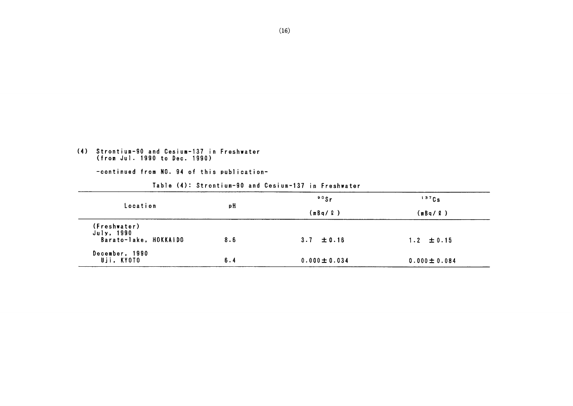## (4) Strontium-90 and Cesium-137 in Freshwater<br>(from Jul. 1990 to Dec. 1990)

|                                                     |     | $\circ$ $\circ$ Sr | $137$ Cs          |
|-----------------------------------------------------|-----|--------------------|-------------------|
| Location                                            | рH  | (mBq / Q)          | (mBq / 2)         |
| (Freshwater)<br>July, 1990<br>Barato-lake, HOKKAIDO | 8.6 | $3.7 \pm 0.16$     | $1.2 \pm 0.15$    |
| December, 1990<br>Uji, KYOTO                        | 6.4 | $0.000 \pm 0.034$  | $0.000 \pm 0.084$ |

Table (4): Strontium-90 and Cesium-137 in Freshwater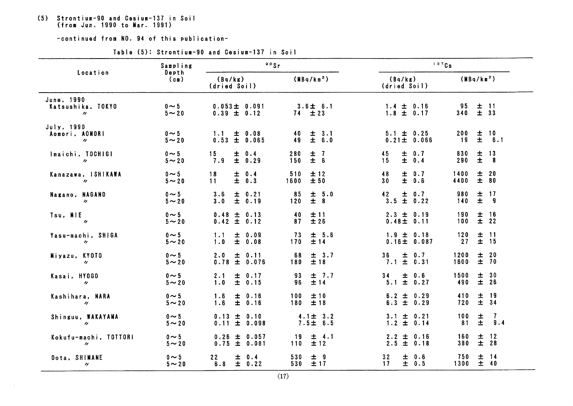# (5) Strontium-90 and Cesium-137 in Soil<br>(from Jun. 1990 to Mar. 1991)

|                                                     | Sampling                  | 90Sr                                  |                                  | 137Cs                                          |                                                                       |
|-----------------------------------------------------|---------------------------|---------------------------------------|----------------------------------|------------------------------------------------|-----------------------------------------------------------------------|
| Location                                            | Depth<br>(c)              | (Bq/kg)<br>(dried Soil)               | (MBq/km <sup>2</sup> )           | (Bq/kg)<br>(dried Soil)                        | (MBq/km <sup>2</sup> )                                                |
| June, 1990<br>Katsushika, TOKYO<br>$\prime$         | $0 \sim 5$<br>$5 - 20$    | $0.053 \pm 0.091$<br>$0.39 \pm 0.12$  | $3.6 \pm 6.1$<br>$74 \pm 23$     | $1.4 \pm 0.16$<br>$1.8 \pm 0.17$               | 95<br>$\pm$<br>11<br>$±$ 33<br>340                                    |
| July, 1990<br>Aomori, AOMORI<br>$\boldsymbol{\eta}$ | $0 \sim 5$<br>$5 \sim 20$ | ± 0.08<br>$1.1 -$<br>$0.53 \pm 0.065$ | ± 3.1<br>40<br>49<br>± 6.0       | $5.1 \pm 0.25$<br>$0.21 \pm 0.066$             | $\pm$<br>10<br>200<br>± 6.1<br>19                                     |
| Imaichi, TOCHIGI<br>$\boldsymbol{H}$                | $0 \sim 5$<br>$5 \sim 20$ | ± 0.4<br>15<br>± 0.29<br>7.9          | 280<br>$\pm$ 7<br>$\pm$ 6<br>150 | ± 0.7<br>45<br>$\pm 0.4$<br>15                 | 830<br>$\pm$<br>13<br>290<br>$\overline{\mathbf{8}}$                  |
| Kanazawa, ISHIKAWA<br>$\boldsymbol{\prime\prime}$   | $0 \sim 5$<br>$5 \sim 20$ | 18<br>± 0.4<br>$\pm$ 0.3<br>11        | 510<br>±12<br>±50<br>1600        | ± 0.7<br>48<br>$\pm$ 0.6<br>30 <sub>o</sub>    | 土<br>20<br>1400<br>± 80<br>4400                                       |
| Nagano, NAGANO<br>$\boldsymbol{\eta}$               | $0 \sim 5$<br>$5 \sim 20$ | 3.6<br>$\pm 0.21$<br>± 0.19<br>3.0    | ± 5.0<br>85<br>$\pm$ 8<br>120    | $\pm$<br>0.7<br>42<br>$\pm 0.22$<br>3.5        | 980<br>17<br>土<br>$\pm$<br>140<br>- 9                                 |
| Tsu, MIE<br>$\boldsymbol{\eta}$                     | $0 \sim 5$<br>$5 \sim 20$ | $0.48 \pm 0.13$<br>$0.42 \pm 0.12$    | 土 11<br>40<br>±26<br>87          | $2.3 \pm 0.19$<br>$0.48 \pm 0.11$              | 16<br>190<br>$\pm$<br>$±$ 22<br>100                                   |
| Yasu-machi, SHIGA<br>$\prime$                       | $0 \sim 5$<br>$5 \sim 20$ | 1.1<br>± 0.09<br>± 0.08<br>1.0        | ± 5.6<br>73<br>170<br>±14        | $1.9 \pm 0.18$<br>0.16 ± 0.087                 | 120<br>±11<br>± 15<br>27                                              |
| Miyazu, KYOTO<br>$\prime$                           | $0 \sim 5$<br>$5 \sim 20$ | ± 0.11<br>2.0<br>$0.78 \pm 0.076$     | ± 3.7<br>68<br>±18<br>180        | $\pm$ 0.7<br>36 <sub>1</sub><br>$7.1 \pm 0.31$ | ± 20<br>1200<br>$\pm$<br>70<br>1600                                   |
| Kasai, HY0GO<br>$\boldsymbol{\eta}$                 | $0 \sim 5$<br>$5 \sim 20$ | 2.1<br>± 0.17<br>1.0<br>± 0.15        | ± 7.7<br>93<br>±14<br>96         | 34<br>$\pm$ 0.6<br>$5.1 \pm 0.27$              | 1500<br>30<br>士<br>± 26<br>490                                        |
| Kashihara, NARA<br>$\boldsymbol{\eta}$              | $0 \sim 5$<br>$5 \sim 20$ | ± 0.16<br>1.6<br>1.6<br>± 0.16        | 100<br>±10<br>±18<br>180         | $6.2 \pm 0.29$<br>$6.3 \pm 0.29$               | $\begin{array}{ccc}\n\pm & 19 \\ \pm & 34\n\end{array}$<br>410<br>720 |
| Shinguu, WAKAYAMA<br>$\boldsymbol{\eta}$            | $0 \sim 5$<br>$5 \sim 20$ | $0.13 \pm 0.10$<br>$0.11 \pm 0.098$   | $4.1 \pm 3.2$<br>$7.5 \pm 6.5$   | $3.1 \pm 0.21$<br>$1.2 \pm 0.14$               | $\mathbf{7}$<br>100<br>$\pm$<br>$\pm$<br>9.4<br>81                    |
| Kokufu-machi, TOTTORI<br>$\prime$                   | $0 \sim 5$<br>$5 \sim 20$ | $0.26 \pm 0.057$<br>$0.75 \pm 0.081$  | ± 4.1<br>19<br>±12<br>110        | $2.2 \pm 0.16$<br>$2.5 \pm 0.18$               | $±$ 12<br>160<br>$±$ 28<br>380                                        |
| Oota, SHIMANE<br>$^{\prime\prime}$                  | $0 \sim 5$<br>$5 \sim 20$ | ± 0.4<br>22<br>± 0.22<br>6.8          | 530<br>土 9<br>± 17<br>530        | 32<br>士<br>0.6<br>$17 -$<br>± 0.5              | 750<br>$\pm$<br>- 14<br>$\pm$ 40<br>1300                              |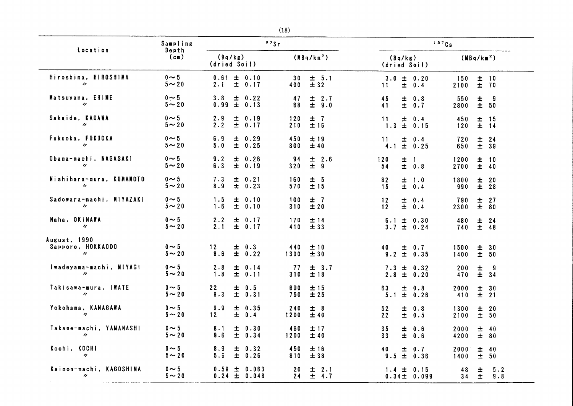| Location                                               | Sampling                   | 90Sr                                                |                                    | 137Cs                                          |                                                |
|--------------------------------------------------------|----------------------------|-----------------------------------------------------|------------------------------------|------------------------------------------------|------------------------------------------------|
|                                                        | Depth<br>(c <sub>m</sub> ) | (Bq/kg)<br>(dried Soil)                             | (MBq/km <sup>2</sup> )             | (Bq/kg)<br>(dried Soil)                        | (MBq/km <sup>2</sup> )                         |
| Hiroshima, HIROSHIMA<br>$\prime\prime$                 | $0 \sim 5$<br>$5 \sim 20$  | 0.61<br>$\pm 0.10$<br>$\pm$<br>2.1<br>0.17          | 30<br>± 5.1<br>±32<br>400          | $3.0 \pm 0.20$<br>$\pm$<br>0.4<br>11           | ±10<br>150<br>±70<br>2100                      |
| Matsuyama, EHIME<br>$\boldsymbol{\eta}$                | $0 \sim 5$<br>$5 \sim 20$  | 3.8<br>士<br>0.22<br>$\pm$<br>0.99<br>0.13           | 47<br>$\pm$ 2.7<br>$\pm$ 9.0<br>68 | 45<br>0.8<br>士<br>$\pm$<br>0.7<br>41           | 550<br>Ŧ<br>- 9<br>± 50<br>2800                |
| Sakaide, KAGAWA<br>$\prime\prime$                      | $0 \sim 5$<br>$5 \sim 20$  | 0.19<br>2.9<br>士<br>士<br>2.2<br>0.17                | 120<br>±7<br>士 16<br>210           | 11<br>$11$ $\pm$<br>$1.3$ $\pm$<br>0.4<br>0.15 | 450<br>±<br>- 15<br>$\overline{\pm}$ 14<br>120 |
| Fukuoka, FUKUOKA<br>$\boldsymbol{\eta}$                | $0 \sim 5$<br>$5 - 20$     | 6.9<br>± 0.29<br>5.0<br>$\pm$<br>0.25               | 450<br>± 19<br>800<br>±40          | 土<br>0.4<br>11<br>± 0.25<br>4.1                | 720<br>$\pm$<br>24<br>$±$ 39<br>650            |
| Obama-machi, NAGASAKI<br>$^{\prime\prime}$             | $0 \sim 5$<br>$5 - 20$     | 9.2<br>0.26<br>士<br>6.3<br>士<br>0.19                | 94<br>± 2.6<br>± 9<br>320          | 120<br>士<br>$\overline{1}$<br>± 0.8<br>54      | 士<br>1200<br>- 10<br>土 40<br>2700              |
| Nishihara-mura, KUMAMOTO<br>$\boldsymbol{\prime}$      | $0 \sim 5$<br>$5 - 20$     | 7.3<br>土<br>0.21<br>$\pm$<br>8.9<br>0.23            | 160<br>± 5<br>$\pm 15$<br>570      | 82<br>土<br>1.0<br>$\pm$<br>15<br>0.4           | 1800<br>± 20<br>$±$ 28<br>990                  |
| Sadowara-machi, MIYAZAKI<br>$\boldsymbol{\prime}$      | $0 \sim 5$<br>$5 \sim 20$  | 1.5<br>土<br>0.10<br>1.6<br>士<br>0.10                | 100<br>±7<br>±20<br>310            | 12<br>土<br>0.4<br>$\pm$<br>0.4<br>12           | $\pm$<br>27<br>790<br>± 80<br>2300             |
| Naha, OKINAWA<br>$^{\prime\prime}$                     | $0 \sim 5$<br>$5 \sim 20$  | 2.2<br>土<br>0.17<br>2.1<br>$\pm$<br>0.17            | 170<br>土 14<br>410<br>±33          | $6.1 \pm$<br>0.30<br>$3.7 \pm 0.24$            | 480<br>土<br>24<br>土 48<br>740                  |
| August, 1990<br>Sapporo, HOKKAODO<br>$\prime\prime$    | $0 \sim 5$<br>$5 \sim 20$  | 0.3<br>12 <sub>2</sub><br>土<br>$\pm$<br>8.6<br>0.22 | 440<br>±10<br>±30<br>1300          | $\pm$ 0.7<br>40<br>$9.2 \pm$<br>0.35           | ± 30<br>1500<br>1400<br>± 50                   |
| Iwadeyama-machi, MIYAGI<br>$\boldsymbol{\eta}$         | $0 \sim 5$<br>$5 \sim 20$  | 2.8<br>土<br>0.14<br>1.8<br>土<br>0.11                | ± 3.7<br>-77<br>±18<br>310         | $7.3 \pm$<br>0.32<br>2.8 $\pm$<br>0.20         | 200<br>±<br>- 9<br>$\pm$<br>34<br>470          |
| Takisawa-mura, IWATE<br>$\prime\prime$                 | $0 \sim 5$<br>$5 \sim 20$  | 22<br>0.5<br>土<br>$\pm$<br>9.3<br>0.31              | 690<br>士 15<br>±25<br>750          | 63<br>$\pm$ 0.8<br>$\pm$<br>5.1<br>0.26        | 2000<br>$\pm$<br>30<br>410<br>$\pm$<br>21      |
| Yokohama, KANAGAWA<br>$\prime\prime$                   | $0 \sim 5$<br>$5 \sim 20$  | 9.9<br>士<br>0.35<br>士<br>0.4<br>12                  | ± 8<br>240<br>±40<br>1200          | 52<br>0.8<br>士<br>22<br>土<br>0.5               | 1300<br>$\pm$<br>20<br>± 50<br>2100            |
| Takane-machi, YAMANASHI<br>$\boldsymbol{\prime\prime}$ | $0 \sim 5$<br>$5 \sim 20$  | 8.1<br>0.30<br>士<br>9.6<br>$\pm$<br>0.34            | 460<br>士 17<br>±40<br>1200         | 35<br>士<br>0.6<br>$\pm$<br>33<br>0.6           | 2000<br>土<br>- 40<br>± 80<br>4200              |
| Kochi, KOCHI<br>$^{\prime\prime}$                      | $0 \sim 5$<br>$5 - 20$     | 8.9<br>土<br>0.32<br>5.6<br>士<br>0.26                | 450<br>土 16<br>±38<br>810          | 40<br>$\pm$<br>0.7<br>$\pm$<br>0.36<br>9.5     | 2000<br>$\pm$<br>40<br>50<br>1400<br>土         |
| Kaimon-machi, KAGOSHIMA<br>$^{\prime\prime}$           | $0 \sim 5$<br>$5 - 20$     | 0.59<br>0.063<br>士<br>$0.24 \pm 0.048$              | 20<br>士<br>2.1<br>± 4.7<br>24      | $1.4 \pm$<br>0.15<br>$0.34 \pm 0.099$          | 5.2<br>48<br>土<br>$\pm$<br>9.8<br>34           |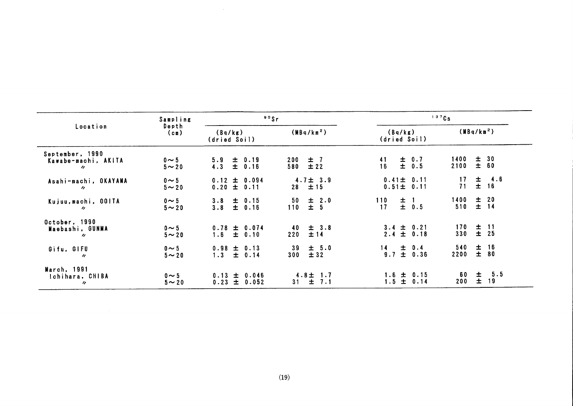| Location                                                    | Sampling                  | $80$ Sr                                 |                                     | 137Cs                                |                                      |  |
|-------------------------------------------------------------|---------------------------|-----------------------------------------|-------------------------------------|--------------------------------------|--------------------------------------|--|
|                                                             | Depth<br>$(c_m)$          | (Bq/kg)<br>(dried Soil)                 | (MBq/km <sup>2</sup> )              | (Bq/kg)<br>(dried Soil)              | (MBq/km <sup>2</sup> )               |  |
| September, 1990<br>Kawabe-machi, AKITA<br>$^{\prime\prime}$ | $0 \sim 5$<br>$5 \sim 20$ | $5.9 \pm 0.19$<br>$4.3 \pm 0.16$        | $\pm$ 7<br>200<br>±22<br>580        | ± 0.7<br>41<br>$\pm$ 0.5<br>16       | ± 30<br>1400<br>± 60<br>2100         |  |
| Asahi-machi, OKAYAMA<br>$\prime$                            | $0 \sim 5$<br>$5 - 20$    | $0.12 \pm 0.094$<br>$0.20 \pm 0.11$     | $4.7 \pm 3.9$<br>±15<br>28          | $0.41 \pm 0.11$<br>$0.51 \pm 0.11$   | $\pm$ 4.6<br>17<br>71<br>$\pm$<br>16 |  |
| Kujuu, machi, 001TA<br>$\prime\prime$                       | $0 \sim 5$<br>$5 \sim 20$ | $3.8 \pm 0.15$<br>$3.8 \pm 0.16$        | 士 2.0<br>50<br>± 5<br>110           | 110<br>$\pm$ 1<br>$\pm$ 0.5<br>17    | ± 20<br>1400<br>$±$ 14<br>510        |  |
| October, 1990<br>Maebashi, GUNMA<br>$\prime$                | $0 \sim 5$<br>$5 \sim 20$ | $0.78 \pm 0.074$<br>$1.6 \pm 0.10$      | $\pm$ 3.8<br>40<br>$\pm 14$<br>220  | $3.4 \pm 0.21$<br>$2.4 \pm 0.18$     | $±$ 11<br>170<br>330<br>± 25         |  |
| Gifu, GIFU<br>$\prime\prime$                                | $0 \sim 5$<br>$5 \sim 20$ | $0.98 \pm 0.13$<br>$1.3 \pm 0.14$       | $\pm$ 5.0<br>39<br>± 32<br>300      | $\pm$ 0.4<br>$\pm$ 0.36<br>14<br>9.7 | $±$ 16<br>540<br>$\pm$<br>2200<br>80 |  |
| March, 1991<br>Ichihara, CHIBA<br>$\prime$                  | $0 \sim 5$<br>$5 \sim 20$ | $0.13 \pm 0.046$<br>$\pm 0.052$<br>0.23 | $4.8 \pm 1.7$<br>$\pm$<br>7.1<br>31 | $1.6 \pm 0.15$<br>$1.5 \pm 0.14$     | 5.5<br>土<br>60<br>士<br>19<br>200     |  |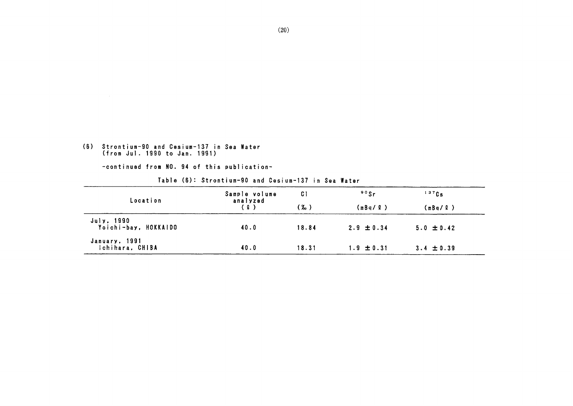## (6) Strontium-90 and Cesium-137 in Sea Water<br>(from Jul. 1990 to Jan. 1991)

| Location                           | Sample volume<br>analyzed<br>( 2 ) | C I<br>(‰) | $\degree$ <sup>90</sup> Sr<br>(mBa/2) | $137$ Cs<br>(mBq/L) |  |
|------------------------------------|------------------------------------|------------|---------------------------------------|---------------------|--|
| July, 1990<br>Yoichi-bay, HOKKAIDO | 40.0                               | 18.84      | $2.9 \pm 0.34$                        | $5.0 \pm 0.42$      |  |
| January, 1991<br>Ichihara, CHIBA   | 40.0                               | 18.31      | $1.9 \pm 0.31$                        | $3.4 \pm 0.39$      |  |

Table (6): Strontium-90 and Cesium-137 in Sea Water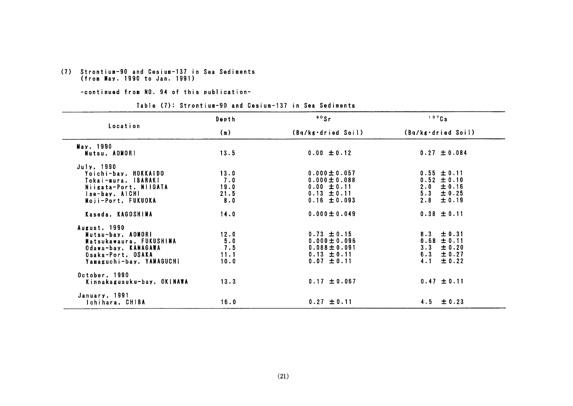## (7) Strontium-90 and Cesium-137 in Sea Sediments<br>(from May. 1990 to Jan. 1991)

#### -continued from NO. 94 of this publication-

#### Table (7): Strontium-90 and Cesium-137 in Sea Sediments

|                                                                                                                                      | Depth                              | 90Sr                                                                                             | 137Cs                                                                                   |
|--------------------------------------------------------------------------------------------------------------------------------------|------------------------------------|--------------------------------------------------------------------------------------------------|-----------------------------------------------------------------------------------------|
| Location                                                                                                                             | (m)                                | (Bq/kg·dried Soil)                                                                               | (Bq/kg·dried Soil)                                                                      |
| May, 1990<br>Mutsu, AOMORI                                                                                                           | 13.5                               | $0.00 \pm 0.12$                                                                                  | $0.27 \pm 0.084$                                                                        |
| July, 1990<br>Yoichi-bay, HOKKAIDO<br>Tokai-mura, IBARAKI<br>Niigata-Port, NIIGATA<br>lse-bay, AICHI<br>Moii-Port, FUKUOKA           | 13.0<br>7.0<br>19.0<br>21.5<br>8.0 | $0.000 \pm 0.057$<br>$0.000 \pm 0.088$<br>$0.00 \pm 0.11$<br>$0.13 \pm 0.11$<br>$0.16 \pm 0.093$ | $0.55 \pm 0.11$<br>$0.52 \pm 0.10$<br>± 0.16<br>2.0<br>± 0.25<br>5.3<br>2.8<br>± 0.19   |
| Kaseda, KAGOSHIMA                                                                                                                    | 14.0                               | $0.000 \pm 0.049$                                                                                | $0.38 \pm 0.11$                                                                         |
| August. 1990<br>Mutsu-bay. AOMORI<br>Matsukawaura, FUKUSHIMA<br>Odawa-bay, KANAGAWA<br>Osaka-Port, OSAKA<br>Yamaguchi-bay, YAMAGUCH! | 12.0<br>5.0<br>7.5<br>11.1<br>10.0 | $0.73 \pm 0.15$<br>$0.000 \pm 0.096$<br>$0.088 \pm 0.091$<br>$0.13 \pm 0.11$<br>$0.07 \pm 0.11$  | ± 0.31<br>8.3<br>$0.68 \pm 0.11$<br>$3 - 3$<br>± 0.20<br>6.3<br>± 0.27<br>± 0.22<br>4.1 |
| October, 1990<br>Kinnakagusuku-bay, OKINAWA                                                                                          | 13.3                               | $0.17 \pm 0.067$                                                                                 | $0.47 \pm 0.11$                                                                         |
| January, 1991<br>Ichihara, CHIBA                                                                                                     | 16.0                               | $0.27 \pm 0.11$                                                                                  | $4.5 \pm 0.23$                                                                          |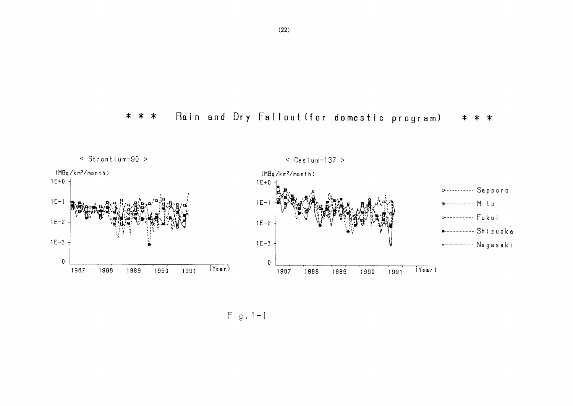



 $Fig. 1-1$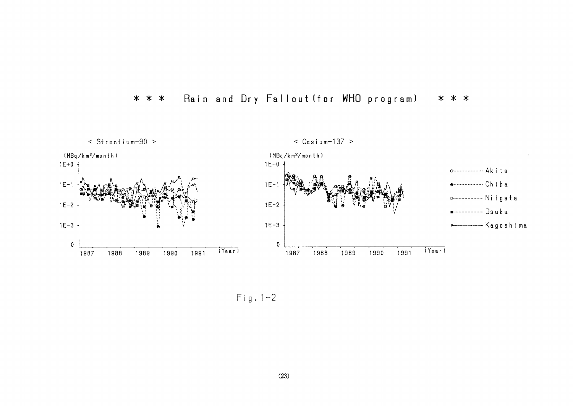



 $Fig. 1-2$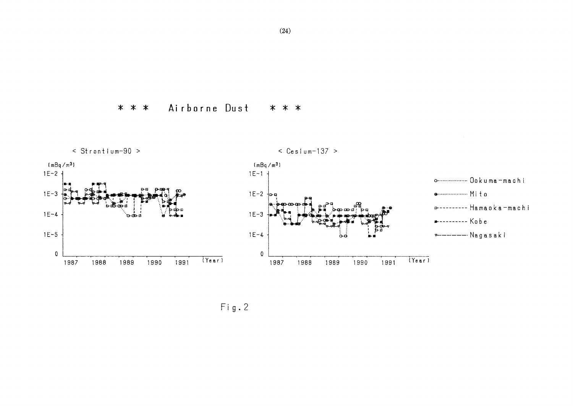Airborne Dust \* \* \* \* \* \*



 $Fig. 2$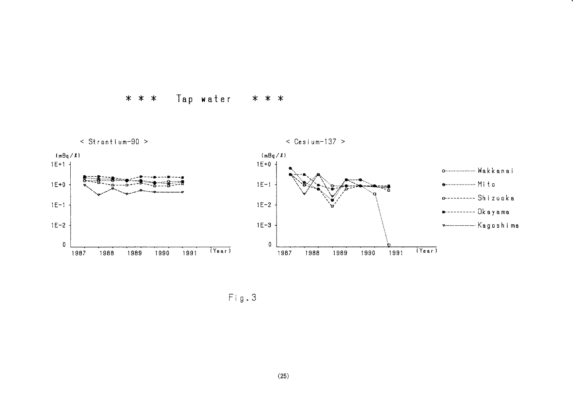### \* \* \* Tap water \* \* \*



Fi9.3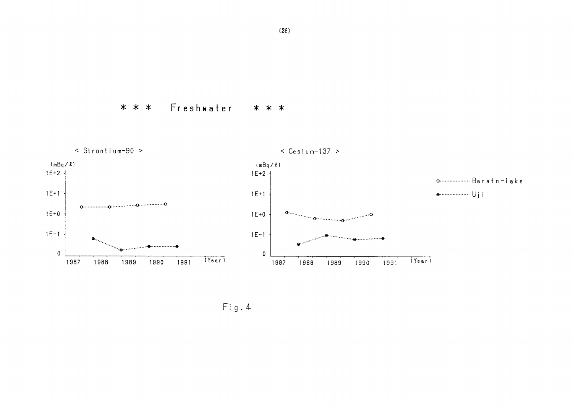\* \* \* Freshwater \* \* \*



Fig.4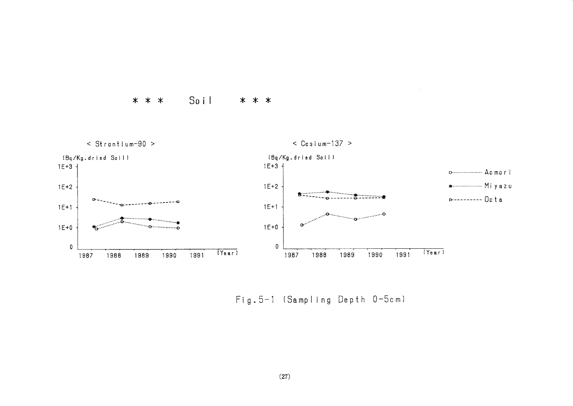Soil  $* * *$ \* \* \*



Fig. 5-1 (Sampling Depth 0-5cm)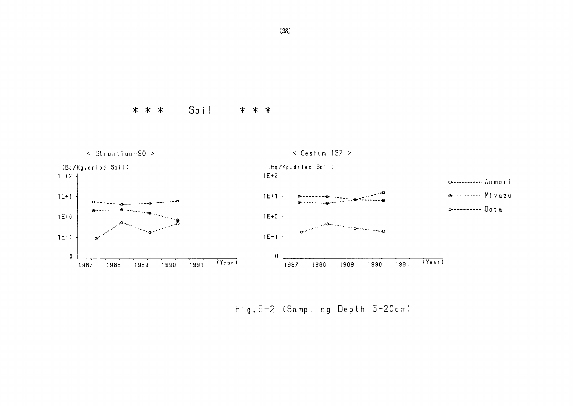Soil  $* * *$ \* \* \*



Fig. 5-2 (Sampling Depth 5-20cm)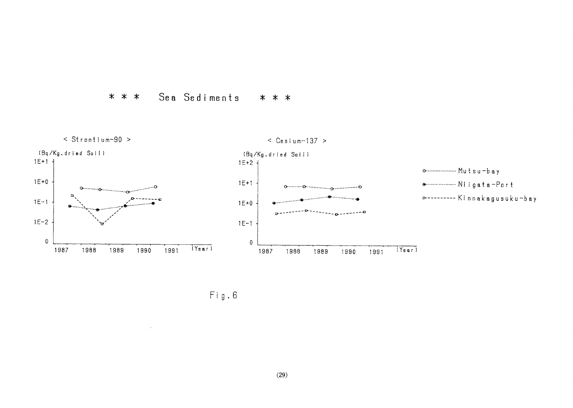



 $\ensuremath{\mathsf{Fig.6}}\xspace$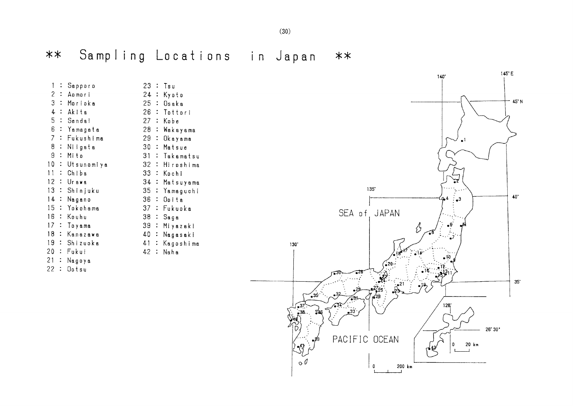Sampling Locations in Japan  $***$  $**$ 

| 1              | $\ddot{\phantom{a}}$ | Sapporo       |                 |                      | 23 : Tsu       |
|----------------|----------------------|---------------|-----------------|----------------------|----------------|
| 2:             |                      | Aomori        |                 |                      | 24 : Kyoto     |
| 3:             |                      | Morioka       |                 |                      | 25:0saka       |
| 4              |                      | ∴ Akita       | 26              |                      | : Tottori      |
| 5:             |                      | Sendal        | 27 <sub>2</sub> |                      | : Kabe         |
| 6              | $\sim$               | Yamagata      | 28              |                      | : Wakayama     |
| $\overline{7}$ | $\ddot{\cdot}$       | Fukushima     | 29              | $\ddot{\cdot}$       | Okayama        |
|                |                      | 8 : Niigata   |                 |                      | 30 : Matsue    |
| 9              | $\mathbb{R}$         | Mito          | 31              |                      | : Takamatsu    |
| 10:            |                      | Utsunomiya    | 32 <sup>2</sup> |                      | : Hiroshima    |
| $11^{-}$       | $\ddot{\cdot}$       | Chiba         | 33              |                      | : Kochi        |
|                |                      | 12 : Urawa    |                 |                      | 34 : Matsuyama |
| 13:            |                      | Shinjuku      | 35              | $\ddot{\cdot}$       | Yamaguchi      |
| 14             |                      | : Nagano      | 36              |                      | : Opita        |
| 15             |                      | ∶ Yokohama    | 37              |                      | : Fukuoka      |
|                |                      | 16 : Kouhu    | 38              |                      | ∶ Saga         |
|                |                      | 17 : Toyama   | 39              | $\ddot{\phantom{a}}$ | Miyazaki       |
|                |                      | 18 : Kanazawa | 40              | $\ddot{\phantom{a}}$ | Nagasaki       |
|                |                      | 19 : Shizuoka | 41              | $\ddot{\phantom{0}}$ | Kagoshima      |
|                |                      | 20 : Fukui    | 42 :            |                      | Naha           |
|                |                      | 21 : Nagoya   |                 |                      |                |
| 22 :           |                      | Ootsu         |                 |                      |                |
|                |                      |               |                 |                      |                |
|                |                      |               |                 |                      |                |